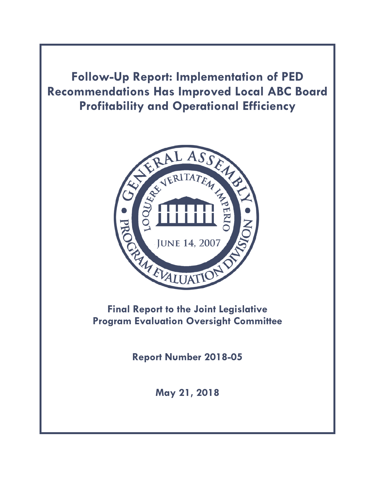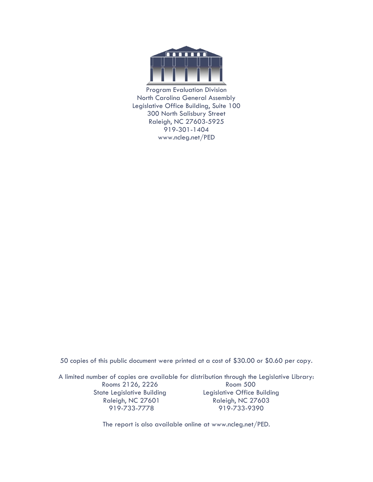

Program Evaluation Division North Carolina General Assembly Legislative Office Building, Suite 100 300 North Salisbury Street Raleigh, NC 27603-5925 919-301-1404 www.ncleg.net/PED

50 copies of this public document were printed at a cost of \$30.00 or \$0.60 per copy.

A limited number of copies are available for distribution through the Legislative Library: Rooms 2126, 2226 Room 500 State Legislative Building Legislative Office Building Raleigh, NC 27601 Raleigh, NC 27603 919-733-7778 919-733-9390

The report is also available online at www.ncleg.net/PED.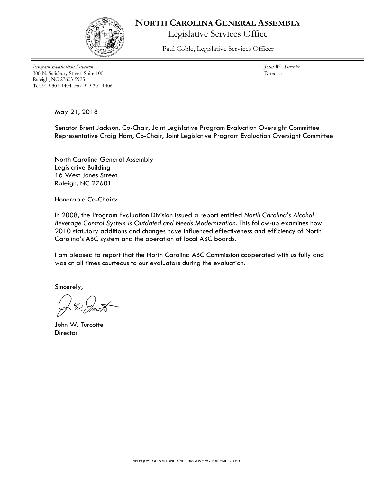

#### **NORTH CAROLINA GENERAL ASSEMBLY**

Legislative Services Office

Paul Coble, Legislative Services Officer

*Program Evaluation Division* 300 N. Salisbury Street, Suite 100 Raleigh, NC 27603-5925 Tel. 919-301-1404 Fax 919-301-1406

*John W. Turcotte* Director

May 21, 2018

Senator Brent Jackson, Co-Chair, Joint Legislative Program Evaluation Oversight Committee Representative Craig Horn, Co-Chair, Joint Legislative Program Evaluation Oversight Committee

North Carolina General Assembly Legislative Building 16 West Jones Street Raleigh, NC 27601

Honorable Co-Chairs:

In 2008, the Program Evaluation Division issued a report entitled *North Carolina's Alcohol Beverage Control System Is Outdated and Needs Modernization*. This follow-up examines how 2010 statutory additions and changes have influenced effectiveness and efficiency of North Carolina's ABC system and the operation of local ABC boards.

I am pleased to report that the North Carolina ABC Commission cooperated with us fully and was at all times courteous to our evaluators during the evaluation.

Sincerely,

John W. Turcotte **Director**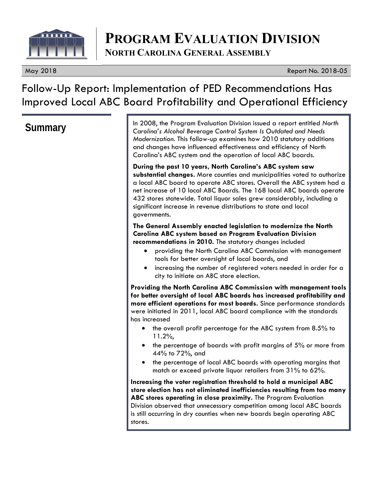

# **PROGRAM EVALUATION DIVISION NORTH CAROLINA GENERAL ASSEMBLY**

#### May 2018 Report No. 2018-05

# Follow-Up Report: Implementation of PED Recommendations Has Improved Local ABC Board Profitability and Operational Efficiency

**Summary** In 2008, the Program Evaluation Division issued a report entitled *North* **Summary** Caroling's Alcohol Beverage Control System Is Outdated and Needs *Carolina's Alcohol Beverage Control System Is Outdated and Needs Modernization*. This follow-up examines how 2010 statutory additions and changes have influenced effectiveness and efficiency of North Carolina's ABC system and the operation of local ABC boards.

> **During the past 10 years, North Carolina's ABC system saw substantial changes.** More counties and municipalities voted to authorize a local ABC board to operate ABC stores. Overall the ABC system had a net increase of 10 local ABC Boards. The 168 local ABC boards operate 432 stores statewide. Total liquor sales grew considerably, including a significant increase in revenue distributions to state and local governments.

#### **The General Assembly enacted legislation to modernize the North Carolina ABC system based on Program Evaluation Division recommendations in 2010.** The statutory changes included

- providing the North Carolina ABC Commission with management tools for better oversight of local boards, and
- increasing the number of registered voters needed in order for a city to initiate an ABC store election.

**Providing the North Carolina ABC Commission with management tools for better oversight of local ABC boards has increased profitability and more efficient operations for most boards.** Since performance standards were initiated in 2011, local ABC board compliance with the standards has increased

- the overall profit percentage for the ABC system from 8.5% to 11.2%,
- the percentage of boards with profit margins of 5% or more from 44% to 72%, and
- the percentage of local ABC boards with operating margins that match or exceed private liquor retailers from 31% to 62%.

**Increasing the voter registration threshold to hold a municipal ABC store election has not eliminated inefficiencies resulting from too many ABC stores operating in close proximity.** The Program Evaluation Division observed that unnecessary competition among local ABC boards is still occurring in dry counties when new boards begin operating ABC stores.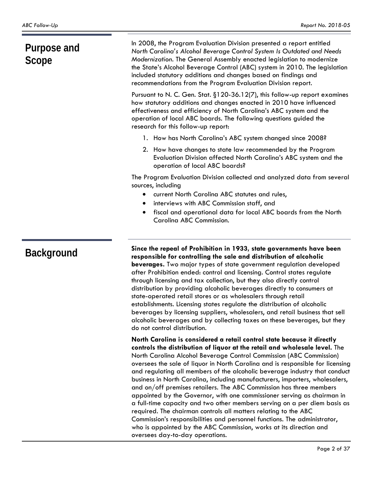| Purpose and<br>Scope | In 2008, the Program Evaluation Division presented a report entitled<br>North Carolina's Alcohol Beverage Control System Is Outdated and Needs<br>Modernization. The General Assembly enacted legislation to modernize<br>the State's Alcohol Beverage Control (ABC) system in 2010. The legislation<br>included statutory additions and changes based on findings and<br>recommendations from the Program Evaluation Division report.                                                                                                                                                                                                                                                                                                                                                                                                                                                                                                                               |
|----------------------|----------------------------------------------------------------------------------------------------------------------------------------------------------------------------------------------------------------------------------------------------------------------------------------------------------------------------------------------------------------------------------------------------------------------------------------------------------------------------------------------------------------------------------------------------------------------------------------------------------------------------------------------------------------------------------------------------------------------------------------------------------------------------------------------------------------------------------------------------------------------------------------------------------------------------------------------------------------------|
|                      | Pursuant to N. C. Gen. Stat. §120-36.12(7), this follow-up report examines<br>how statutory additions and changes enacted in 2010 have influenced<br>effectiveness and efficiency of North Carolina's ABC system and the<br>operation of local ABC boards. The following questions guided the<br>research for this follow-up report:                                                                                                                                                                                                                                                                                                                                                                                                                                                                                                                                                                                                                                 |
|                      | 1. How has North Carolina's ABC system changed since 2008?                                                                                                                                                                                                                                                                                                                                                                                                                                                                                                                                                                                                                                                                                                                                                                                                                                                                                                           |
|                      | 2. How have changes to state law recommended by the Program<br>Evaluation Division affected North Carolina's ABC system and the<br>operation of local ABC boards?                                                                                                                                                                                                                                                                                                                                                                                                                                                                                                                                                                                                                                                                                                                                                                                                    |
|                      | The Program Evaluation Division collected and analyzed data from several<br>sources, including                                                                                                                                                                                                                                                                                                                                                                                                                                                                                                                                                                                                                                                                                                                                                                                                                                                                       |
|                      | current North Carolina ABC statutes and rules,                                                                                                                                                                                                                                                                                                                                                                                                                                                                                                                                                                                                                                                                                                                                                                                                                                                                                                                       |
|                      | interviews with ABC Commission staff, and<br>$\bullet$                                                                                                                                                                                                                                                                                                                                                                                                                                                                                                                                                                                                                                                                                                                                                                                                                                                                                                               |
|                      | fiscal and operational data for local ABC boards from the North<br>Carolina ABC Commission.                                                                                                                                                                                                                                                                                                                                                                                                                                                                                                                                                                                                                                                                                                                                                                                                                                                                          |
| <b>Background</b>    | Since the repeal of Prohibition in 1933, state governments have been<br>responsible for controlling the sale and distribution of alcoholic<br>beverages. Two major types of state government regulation developed<br>after Prohibition ended: control and licensing. Control states regulate<br>through licensing and tax collection, but they also directly control<br>distribution by providing alcoholic beverages directly to consumers at<br>state-operated retail stores or as wholesalers through retail<br>establishments. Licensing states regulate the distribution of alcoholic<br>beverages by licensing suppliers, wholesalers, and retail business that sell<br>alcoholic beverages and by collecting taxes on these beverages, but they<br>do not control distribution.                                                                                                                                                                               |
|                      | North Carolina is considered a retail control state because it directly<br>controls the distribution of liquor at the retail and wholesale level. The<br>North Carolina Alcohol Beverage Control Commission (ABC Commission)<br>oversees the sale of liquor in North Carolina and is responsible for licensing<br>and regulating all members of the alcoholic beverage industry that conduct<br>business in North Carolina, including manufacturers, importers, wholesalers,<br>and on/off premises retailers. The ABC Commission has three members<br>appointed by the Governor, with one commissioner serving as chairman in<br>a full-time capacity and two other members serving on a per diem basis as<br>required. The chairman controls all matters relating to the ABC<br>Commission's responsibilities and personnel functions. The administrator,<br>who is appointed by the ABC Commission, works at its direction and<br>oversees day-to-day operations. |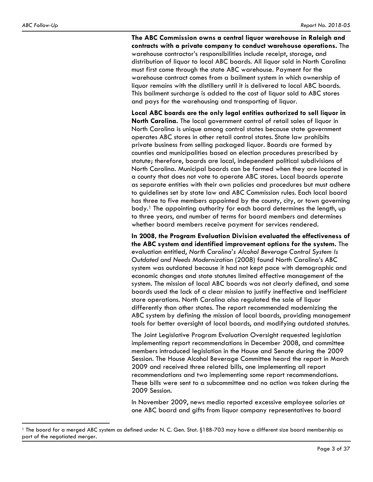$\overline{a}$ 

**The ABC Commission owns a central liquor warehouse in Raleigh and contracts with a private company to conduct warehouse operations.** The warehouse contractor's responsibilities include receipt, storage, and distribution of liquor to local ABC boards. All liquor sold in North Carolina must first come through the state ABC warehouse. Payment for the warehouse contract comes from a bailment system in which ownership of liquor remains with the distillery until it is delivered to local ABC boards. This bailment surcharge is added to the cost of liquor sold to ABC stores and pays for the warehousing and transporting of liquor.

**Local ABC boards are the only legal entities authorized to sell liquor in North Carolina.** The local government control of retail sales of liquor in North Carolina is unique among control states because state government operates ABC stores in other retail control states. State law prohibits private business from selling packaged liquor. Boards are formed by counties and municipalities based on election procedures prescribed by statute; therefore, boards are local, independent political subdivisions of North Carolina. Municipal boards can be formed when they are located in a county that does not vote to operate ABC stores. Local boards operate as separate entities with their own policies and procedures but must adhere to guidelines set by state law and ABC Commission rules. Each local board has three to five members appointed by the county, city, or town governing body.1 The appointing authority for each board determines the length, up to three years, and number of terms for board members and determines whether board members receive payment for services rendered.

**In 2008, the Program Evaluation Division evaluated the effectiveness of the ABC system and identified improvement options for the system.** The evaluation entitled, *North Carolina's Alcohol Beverage Control System Is Outdated and Needs Modernization* (2008) found North Carolina's ABC system was outdated because it had not kept pace with demographic and economic changes and state statutes limited effective management of the system. The mission of local ABC boards was not clearly defined, and some boards used the lack of a clear mission to justify ineffective and inefficient store operations. North Carolina also regulated the sale of liquor differently than other states. The report recommended modernizing the ABC system by defining the mission of local boards, providing management tools for better oversight of local boards, and modifying outdated statutes.

The Joint Legislative Program Evaluation Oversight requested legislation implementing report recommendations in December 2008, and committee members introduced legislation in the House and Senate during the 2009 Session. The House Alcohol Beverage Committee heard the report in March 2009 and received three related bills, one implementing all report recommendations and two implementing some report recommendations. These bills were sent to a subcommittee and no action was taken during the 2009 Session.

In November 2009, news media reported excessive employee salaries at one ABC board and gifts from liquor company representatives to board

<sup>1</sup> The board for a merged ABC system as defined under N. C. Gen. Stat. §18B-703 may have a different size board membership as part of the negotiated merger.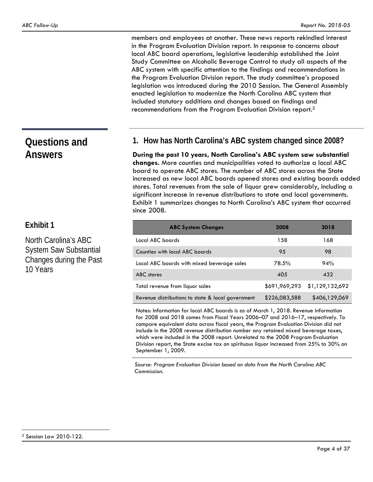members and employees at another. These news reports rekindled interest in the Program Evaluation Division report. In response to concerns about local ABC board operations, legislative leadership established the Joint Study Committee on Alcoholic Beverage Control to study all aspects of the ABC system with specific attention to the findings and recommendations in the Program Evaluation Division report. The study committee's proposed legislation was introduced during the 2010 Session. The General Assembly enacted legislation to modernize the North Carolina ABC system that included statutory additions and changes based on findings and recommendations from the Program Evaluation Division report.2

## **Questions and Answers**

## **Exhibit 1**

North Carolina's ABC System Saw Substantial Changes during the Past 10 Years

### **1. How has North Carolina's ABC system changed since 2008?**

**During the past 10 years, North Carolina's ABC system saw substantial changes.** More counties and municipalities voted to authorize a local ABC board to operate ABC stores. The number of ABC stores across the State increased as new local ABC boards opened stores and existing boards added stores. Total revenues from the sale of liquor grew considerably, including a significant increase in revenue distributions to state and local governments. Exhibit 1 summarizes changes to North Carolina's ABC system that occurred since 2008.

| <b>ABC System Changes</b>                         | 2008          | 2018            |
|---------------------------------------------------|---------------|-----------------|
| Local ABC boards                                  | 158           | 168             |
| Counties with local ABC boards                    | 95            | 98              |
| Local ABC boards with mixed beverage sales        | 78.5%         | 94%             |
| ABC stores                                        | 405           | 432             |
| Total revenue from liquor sales                   | \$691,969,293 | \$1,129,132,692 |
| Revenue distributions to state & local government | \$226,083,588 | \$406,129,069   |

Notes: Information for local ABC boards is as of March 1, 2018. Revenue information for 2008 and 2018 comes from Fiscal Years 2006–07 and 2016–17, respectively. To compare equivalent data across fiscal years, the Program Evaluation Division did not include in the 2008 revenue distribution number any retained mixed beverage taxes, which were included in the 2008 report. Unrelated to the 2008 Program Evaluation Division report, the State excise tax on spirituous liquor increased from 25% to 30% on September 1, 2009.

*Source: Program Evaluation Division based on data from the North Carolina ABC Commission.*

 $\overline{a}$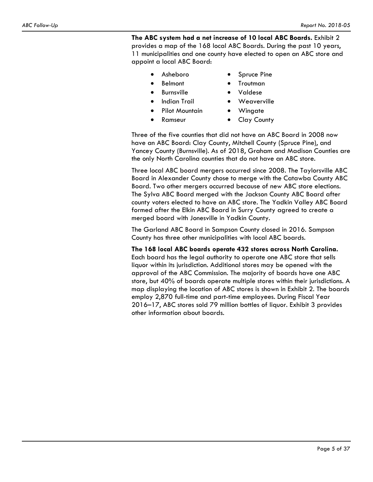**The ABC system had a net increase of 10 local ABC Boards.** Exhibit 2 provides a map of the 168 local ABC Boards. During the past 10 years, 11 municipalities and one county have elected to open an ABC store and appoint a local ABC Board:

- Asheboro
- Spruce Pine
- Belmont
- Troutman Valdese
- **•** Burnsville
	- Indian Trail
	- Pilot Mountain Wingate
- Ramseur
- Clay County

Weaverville

Three of the five counties that did not have an ABC Board in 2008 now have an ABC Board: Clay County, Mitchell County (Spruce Pine), and Yancey County (Burnsville). As of 2018, Graham and Madison Counties are the only North Carolina counties that do not have an ABC store.

Three local ABC board mergers occurred since 2008. The Taylorsville ABC Board in Alexander County chose to merge with the Catawba County ABC Board. Two other mergers occurred because of new ABC store elections. The Sylva ABC Board merged with the Jackson County ABC Board after county voters elected to have an ABC store. The Yadkin Valley ABC Board formed after the Elkin ABC Board in Surry County agreed to create a merged board with Jonesville in Yadkin County.

The Garland ABC Board in Sampson County closed in 2016. Sampson County has three other municipalities with local ABC boards.

**The 168 local ABC boards operate 432 stores across North Carolina.**  Each board has the legal authority to operate one ABC store that sells liquor within its jurisdiction. Additional stores may be opened with the approval of the ABC Commission. The majority of boards have one ABC store, but 40% of boards operate multiple stores within their jurisdictions. A map displaying the location of ABC stores is shown in Exhibit 2. The boards employ 2,870 full-time and part-time employees. During Fiscal Year 2016–17, ABC stores sold 79 million bottles of liquor. Exhibit 3 provides other information about boards.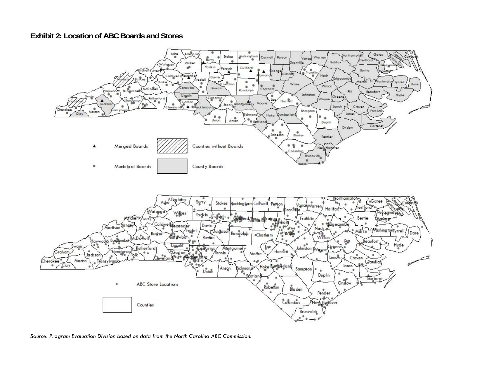### **Exhibit 2: Location of ABC Boards and Stores**



*Source: Program Evaluation Division based on data from the North Carolina ABC Commission.*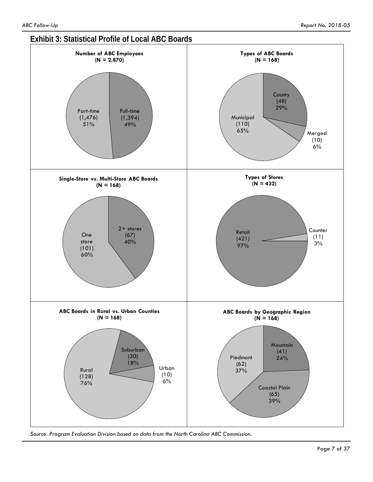

*Source: Program Evaluation Division based on data from the North Carolina ABC Commission.*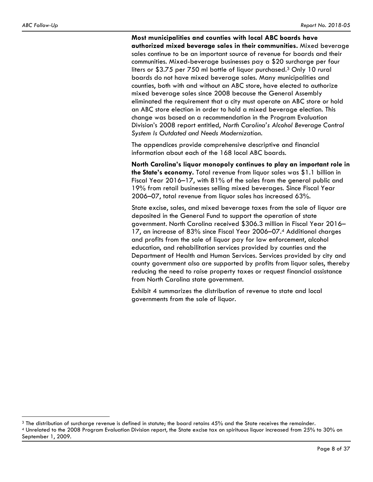$\overline{a}$ 

#### **Most municipalities and counties with local ABC boards have**

**authorized mixed beverage sales in their communities.** Mixed beverage sales continue to be an important source of revenue for boards and their communities. Mixed-beverage businesses pay a \$20 surcharge per four liters or \$3.75 per 750 ml bottle of liquor purchased.3 Only 10 rural boards do not have mixed beverage sales. Many municipalities and counties, both with and without an ABC store, have elected to authorize mixed beverage sales since 2008 because the General Assembly eliminated the requirement that a city must operate an ABC store or hold an ABC store election in order to hold a mixed beverage election. This change was based on a recommendation in the Program Evaluation Division's 2008 report entitled, *North Carolina's Alcohol Beverage Control System Is Outdated and Needs Modernization*.

The appendices provide comprehensive descriptive and financial information about each of the 168 local ABC boards.

**North Carolina's liquor monopoly continues to play an important role in the State's economy.** Total revenue from liquor sales was \$1.1 billion in Fiscal Year 2016–17, with 81% of the sales from the general public and 19% from retail businesses selling mixed beverages. Since Fiscal Year 2006–07, total revenue from liquor sales has increased 63%.

State excise, sales, and mixed beverage taxes from the sale of liquor are deposited in the General Fund to support the operation of state government. North Carolina received \$306.3 million in Fiscal Year 2016– 17, an increase of 83% since Fiscal Year 2006–07.4 Additional charges and profits from the sale of liquor pay for law enforcement, alcohol education, and rehabilitation services provided by counties and the Department of Health and Human Services. Services provided by city and county government also are supported by profits from liquor sales, thereby reducing the need to raise property taxes or request financial assistance from North Carolina state government.

Exhibit 4 summarizes the distribution of revenue to state and local governments from the sale of liquor.

<sup>&</sup>lt;sup>3</sup> The distribution of surcharge revenue is defined in statute; the board retains 45% and the State receives the remainder.<br><sup>4</sup> Unrelated to the 2008 Program Evaluation Division report, the State excise tax on spirituous September 1, 2009.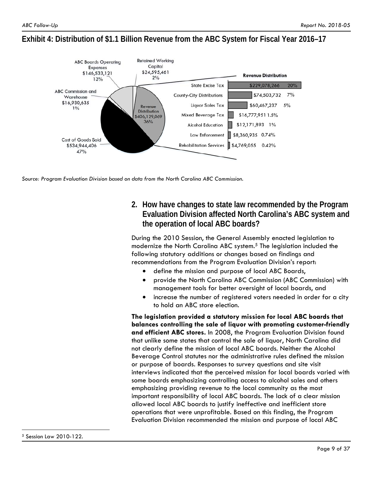### **Exhibit 4: Distribution of \$1.1 Billion Revenue from the ABC System for Fiscal Year 2016–17**



*Source: Program Evaluation Division based on data from the North Carolina ABC Commission.* 

## **2. How have changes to state law recommended by the Program Evaluation Division affected North Carolina's ABC system and the operation of local ABC boards?**

During the 2010 Session, the General Assembly enacted legislation to modernize the North Carolina ABC system.<sup>5</sup> The legislation included the following statutory additions or changes based on findings and recommendations from the Program Evaluation Division's report:

- define the mission and purpose of local ABC Boards,
- provide the North Carolina ABC Commission (ABC Commission) with management tools for better oversight of local boards, and
- increase the number of registered voters needed in order for a city to hold an ABC store election.

**The legislation provided a statutory mission for local ABC boards that balances controlling the sale of liquor with promoting customer-friendly and efficient ABC stores.** In 2008, the Program Evaluation Division found that unlike some states that control the sale of liquor, North Carolina did not clearly define the mission of local ABC boards. Neither the Alcohol Beverage Control statutes nor the administrative rules defined the mission or purpose of boards. Responses to survey questions and site visit interviews indicated that the perceived mission for local boards varied with some boards emphasizing controlling access to alcohol sales and others emphasizing providing revenue to the local community as the most important responsibility of local ABC boards. The lack of a clear mission allowed local ABC boards to justify ineffective and inefficient store operations that were unprofitable. Based on this finding, the Program Evaluation Division recommended the mission and purpose of local ABC

 $\overline{a}$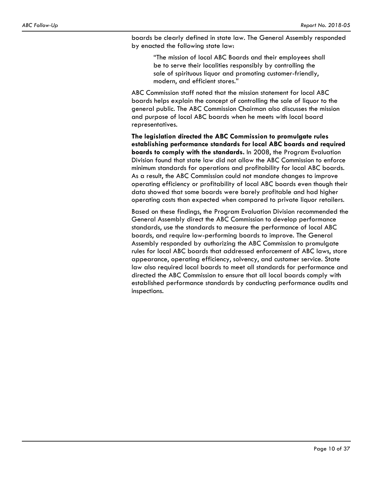boards be clearly defined in state law. The General Assembly responded by enacted the following state law:

"The mission of local ABC Boards and their employees shall be to serve their localities responsibly by controlling the sale of spirituous liquor and promoting customer-friendly, modern, and efficient stores."

ABC Commission staff noted that the mission statement for local ABC boards helps explain the concept of controlling the sale of liquor to the general public. The ABC Commission Chairman also discusses the mission and purpose of local ABC boards when he meets with local board representatives.

**The legislation directed the ABC Commission to promulgate rules establishing performance standards for local ABC boards and required boards to comply with the standards.** In 2008, the Program Evaluation Division found that state law did not allow the ABC Commission to enforce minimum standards for operations and profitability for local ABC boards. As a result, the ABC Commission could not mandate changes to improve operating efficiency or profitability of local ABC boards even though their data showed that some boards were barely profitable and had higher operating costs than expected when compared to private liquor retailers.

Based on these findings, the Program Evaluation Division recommended the General Assembly direct the ABC Commission to develop performance standards, use the standards to measure the performance of local ABC boards, and require low-performing boards to improve. The General Assembly responded by authorizing the ABC Commission to promulgate rules for local ABC boards that addressed enforcement of ABC laws, store appearance, operating efficiency, solvency, and customer service. State law also required local boards to meet all standards for performance and directed the ABC Commission to ensure that all local boards comply with established performance standards by conducting performance audits and inspections.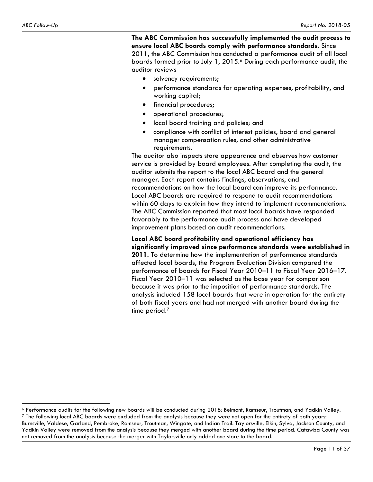$\overline{a}$ 

**The ABC Commission has successfully implemented the audit process to ensure local ABC boards comply with performance standards.** Since 2011, the ABC Commission has conducted a performance audit of all local boards formed prior to July 1, 2015.<sup>6</sup> During each performance audit, the auditor reviews

- solvency requirements;
- performance standards for operating expenses, profitability, and working capital;
- **•** financial procedures;
- operational procedures;
- local board training and policies; and
- compliance with conflict of interest policies, board and general manager compensation rules, and other administrative requirements.

The auditor also inspects store appearance and observes how customer service is provided by board employees. After completing the audit, the auditor submits the report to the local ABC board and the general manager. Each report contains findings, observations, and recommendations on how the local board can improve its performance. Local ABC boards are required to respond to audit recommendations within 60 days to explain how they intend to implement recommendations. The ABC Commission reported that most local boards have responded favorably to the performance audit process and have developed improvement plans based on audit recommendations.

**Local ABC board profitability and operational efficiency has significantly improved since performance standards were established in 2011.** To determine how the implementation of performance standards affected local boards, the Program Evaluation Division compared the performance of boards for Fiscal Year 2010–11 to Fiscal Year 2016–17. Fiscal Year 2010–11 was selected as the base year for comparison because it was prior to the imposition of performance standards. The analysis included 158 local boards that were in operation for the entirety of both fiscal years and had not merged with another board during the time period.<sup>7</sup>

 $\degree$  Performance audits for the following new boards will be conducted during 2018: Belmont, Ramseur, Troutman, and Yadkin Valley.<br>7 The following local ABC boards were excluded from the analysis because they were not ope

Burnsville, Valdese, Garland, Pembroke, Ramseur, Troutman, Wingate, and Indian Trail. Taylorsville, Elkin, Sylva, Jackson County, and Yadkin Valley were removed from the analysis because they merged with another board during the time period. Catawba County was not removed from the analysis because the merger with Taylorsville only added one store to the board.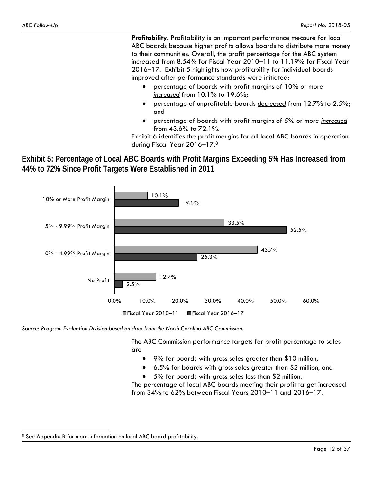**Profitability.** Profitability is an important performance measure for local ABC boards because higher profits allows boards to distribute more money to their communities. Overall, the profit percentage for the ABC system increased from 8.54% for Fiscal Year 2010–11 to 11.19% for Fiscal Year 2016–17. Exhibit 5 highlights how profitability for individual boards improved after performance standards were initiated:

- percentage of boards with profit margins of 10% or more *increased* from 10.1% to 19.6%;
- percentage of unprofitable boards *decreased* from 12.7% to 2.5%; and
- percentage of boards with profit margins of 5% or more *increased* from 43.6% to 72.1%.

Exhibit 6 identifies the profit margins for all local ABC boards in operation during Fiscal Year 2016–17.8

**Exhibit 5: Percentage of Local ABC Boards with Profit Margins Exceeding 5% Has Increased from 44% to 72% Since Profit Targets Were Established in 2011** 



*Source: Program Evaluation Division based on data from the North Carolina ABC Commission.* 

The ABC Commission performance targets for profit percentage to sales are

- 9% for boards with gross sales greater than \$10 million,
- 6.5% for boards with gross sales greater than \$2 million, and
- 5% for boards with gross sales less than \$2 million.

The percentage of local ABC boards meeting their profit target increased from 34% to 62% between Fiscal Years 2010–11 and 2016–17.

 $\overline{a}$ 

<sup>&</sup>lt;sup>8</sup> See Appendix B for more information on local ABC board profitability.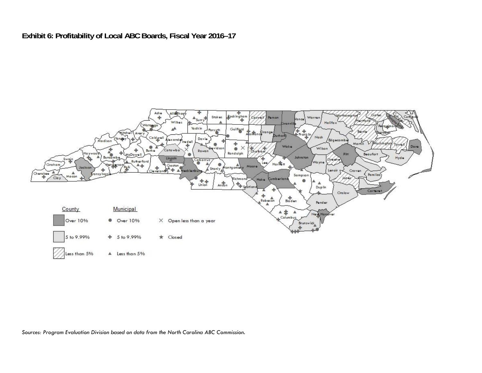## **Exhibit 6: Profitability of Local ABC Boards, Fiscal Year 2016–17**



*Sources: Program Evaluation Division based on data from the North Carolina ABC Commission.*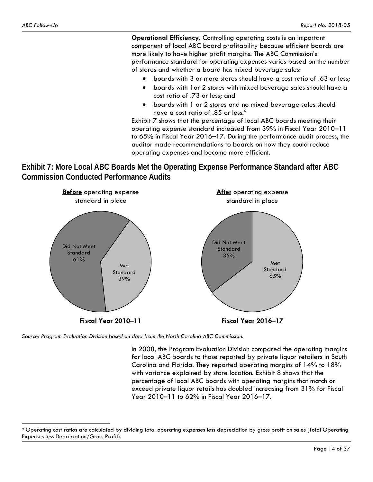**Operational Efficiency.** Controlling operating costs is an important component of local ABC board profitability because efficient boards are more likely to have higher profit margins. The ABC Commission's performance standard for operating expenses varies based on the number of stores and whether a board has mixed beverage sales:

- boards with 3 or more stores should have a cost ratio of .63 or less;
- boards with 1or 2 stores with mixed beverage sales should have a cost ratio of .73 or less; and
- boards with 1 or 2 stores and no mixed beverage sales should have a cost ratio of .85 or less.<sup>9</sup>

Exhibit 7 shows that the percentage of local ABC boards meeting their operating expense standard increased from 39% in Fiscal Year 2010–11 to 65% in Fiscal Year 2016–17. During the performance audit process, the auditor made recommendations to boards on how they could reduce operating expenses and become more efficient.

**Exhibit 7: More Local ABC Boards Met the Operating Expense Performance Standard after ABC Commission Conducted Performance Audits** 



*Source: Program Evaluation Division based on data from the North Carolina ABC Commission.* 

In 2008, the Program Evaluation Division compared the operating margins for local ABC boards to those reported by private liquor retailers in South Carolina and Florida. They reported operating margins of 14% to 18% with variance explained by store location. Exhibit 8 shows that the percentage of local ABC boards with operating margins that match or exceed private liquor retails has doubled increasing from 31% for Fiscal Year 2010–11 to 62% in Fiscal Year 2016–17.

 $\overline{a}$ <sup>9</sup> Operating cost ratios are calculated by dividing total operating expenses less depreciation by gross profit on sales (Total Operating Expenses less Depreciation/Gross Profit).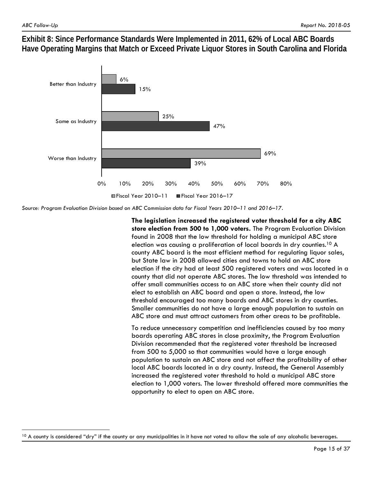1

**Exhibit 8: Since Performance Standards Were Implemented in 2011, 62% of Local ABC Boards Have Operating Margins that Match or Exceed Private Liquor Stores in South Carolina and Florida** 



*Source: Program Evaluation Division based on ABC Commission data for Fiscal Years 2010–11 and 2016–17.* 

**The legislation increased the registered voter threshold for a city ABC store election from 500 to 1,000 voters.** The Program Evaluation Division found in 2008 that the low threshold for holding a municipal ABC store election was causing a proliferation of local boards in dry counties.10 A county ABC board is the most efficient method for regulating liquor sales, but State law in 2008 allowed cities and towns to hold an ABC store election if the city had at least 500 registered voters and was located in a county that did not operate ABC stores. The low threshold was intended to offer small communities access to an ABC store when their county did not elect to establish an ABC board and open a store. Instead, the low threshold encouraged too many boards and ABC stores in dry counties. Smaller communities do not have a large enough population to sustain an ABC store and must attract customers from other areas to be profitable.

To reduce unnecessary competition and inefficiencies caused by too many boards operating ABC stores in close proximity, the Program Evaluation Division recommended that the registered voter threshold be increased from 500 to 5,000 so that communities would have a large enough population to sustain an ABC store and not affect the profitability of other local ABC boards located in a dry county. Instead, the General Assembly increased the registered voter threshold to hold a municipal ABC store election to 1,000 voters. The lower threshold offered more communities the opportunity to elect to open an ABC store.

 $10$  A county is considered "dry" if the county or any municipalities in it have not voted to allow the sale of any alcoholic beverages.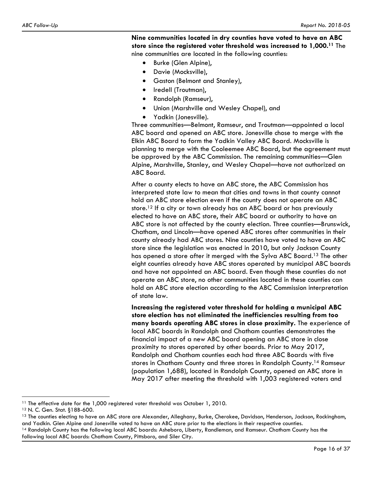**Nine communities located in dry counties have voted to have an ABC store since the registered voter threshold was increased to 1,000.11** The nine communities are located in the following counties:

- Burke (Glen Alpine),
- Davie (Mocksville),
- Gaston (Belmont and Stanley),
- Iredell (Troutman),
- Randolph (Ramseur),
- Union (Marshville and Wesley Chapel), and
- Yadkin (Jonesville).

Three communities—Belmont, Ramseur, and Troutman—appointed a local ABC board and opened an ABC store. Jonesville chose to merge with the Elkin ABC Board to form the Yadkin Valley ABC Board. Mocksville is planning to merge with the Cooleemee ABC Board, but the agreement must be approved by the ABC Commission. The remaining communities—Glen Alpine, Marshville, Stanley, and Wesley Chapel—have not authorized an ABC Board.

After a county elects to have an ABC store, the ABC Commission has interpreted state law to mean that cities and towns in that county cannot hold an ABC store election even if the county does not operate an ABC store.12 If a city or town already has an ABC board or has previously elected to have an ABC store, their ABC board or authority to have an ABC store is not affected by the county election. Three counties—Brunswick, Chatham, and Lincoln—have opened ABC stores after communities in their county already had ABC stores. Nine counties have voted to have an ABC store since the legislation was enacted in 2010, but only Jackson County has opened a store after it merged with the Sylva ABC Board.13 The other eight counties already have ABC stores operated by municipal ABC boards and have not appointed an ABC board. Even though these counties do not operate an ABC store, no other communities located in these counties can hold an ABC store election according to the ABC Commission interpretation of state law.

**Increasing the registered voter threshold for holding a municipal ABC store election has not eliminated the inefficiencies resulting from too many boards operating ABC stores in close proximity.** The experience of local ABC boards in Randolph and Chatham counties demonstrates the financial impact of a new ABC board opening an ABC store in close proximity to stores operated by other boards. Prior to May 2017, Randolph and Chatham counties each had three ABC Boards with five stores in Chatham County and three stores in Randolph County.14 Ramseur (population 1,688), located in Randolph County, opened an ABC store in May 2017 after meeting the threshold with 1,003 registered voters and

<u>.</u>

<sup>13</sup> The counties electing to have an ABC store are Alexander, Alleghany, Burke, Cherokee, Davidson, Henderson, Jackson, Rockingham, and Yadkin. Glen Alpine and Jonesville voted to have an ABC store prior to the elections in their respective counties.<br><sup>14</sup> Randolph County has the following local ABC boards: Asheboro, Liberty, Randleman, and Ramseur. Cha

following local ABC boards: Chatham County, Pittsboro, and Siler City.

<sup>&</sup>lt;sup>11</sup> The effective date for the 1,000 registered voter threshold was October 1, 2010.<br><sup>12</sup> N. C. Gen. Stat. §18B-600.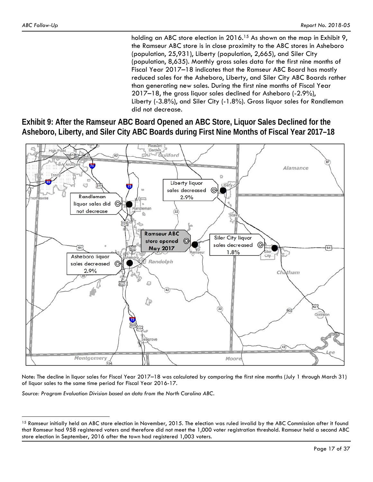$\overline{a}$ 

holding an ABC store election in 2016.<sup>15</sup> As shown on the map in Exhibit 9, the Ramseur ABC store is in close proximity to the ABC stores in Asheboro (population, 25,931), Liberty (population, 2,665), and Siler City (population, 8,635). Monthly gross sales data for the first nine months of Fiscal Year 2017–18 indicates that the Ramseur ABC Board has mostly reduced sales for the Asheboro, Liberty, and Siler City ABC Boards rather than generating new sales. During the first nine months of Fiscal Year 2017–18, the gross liquor sales declined for Asheboro (-2.9%), Liberty (-3.8%), and Siler City (-1.8%). Gross liquor sales for Randleman did not decrease.

**Exhibit 9: After the Ramseur ABC Board Opened an ABC Store, Liquor Sales Declined for the Asheboro, Liberty, and Siler City ABC Boards during First Nine Months of Fiscal Year 2017–18** 



Note: The decline in liquor sales for Fiscal Year 2017–18 was calculated by comparing the first nine months (July 1 through March 31) of liquor sales to the same time period for Fiscal Year 2016-17.

*Source: Program Evaluation Division based on data from the North Carolina ABC.*

<sup>&</sup>lt;sup>15</sup> Ramseur initially held an ABC store election in November, 2015. The election was ruled invalid by the ABC Commission after it found that Ramseur had 958 registered voters and therefore did not meet the 1,000 voter registration threshold. Ramseur held a second ABC store election in September, 2016 after the town had registered 1,003 voters.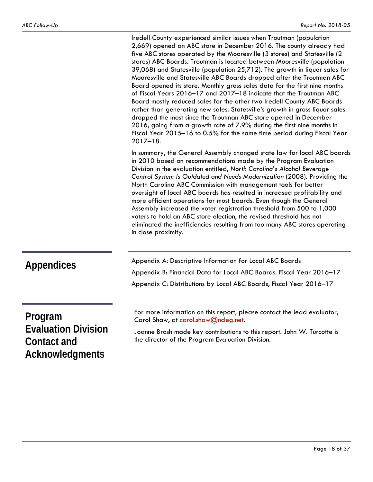Iredell County experienced similar issues when Troutman (population 2,669) opened an ABC store in December 2016. The county already had five ABC stores operated by the Mooresville (3 stores) and Statesville (2 stores) ABC Boards. Troutman is located between Mooresville (population 39,068) and Statesville (population 25,712). The growth in liquor sales for Mooresville and Statesville ABC Boards dropped after the Troutman ABC Board opened its store. Monthly gross sales data for the first nine months of Fiscal Years 2016–17 and 2017–18 indicate that the Troutman ABC Board mostly reduced sales for the other two Iredell County ABC Boards rather than generating new sales. Statesville's growth in gross liquor sales dropped the most since the Troutman ABC store opened in December 2016, going from a growth rate of 7.9% during the first nine months in Fiscal Year 2015–16 to 0.5% for the same time period during Fiscal Year 2017–18.

In summary, the General Assembly changed state law for local ABC boards in 2010 based on recommendations made by the Program Evaluation Division in the evaluation entitled, *North Carolina's Alcohol Beverage Control System Is Outdated and Needs Modernization* (2008). Providing the North Carolina ABC Commission with management tools for better oversight of local ABC boards has resulted in increased profitability and more efficient operations for most boards. Even though the General Assembly increased the voter registration threshold from 500 to 1,000 voters to hold an ABC store election, the revised threshold has not eliminated the inefficiencies resulting from too many ABC stores operating in close proximity.

| <b>Appendices</b>          | Appendix A: Descriptive Information for Local ABC Boards<br>Appendix B: Financial Data for Local ABC Boards. Fiscal Year 2016-17<br>Appendix C: Distributions by Local ABC Boards, Fiscal Year 2016-17 |
|----------------------------|--------------------------------------------------------------------------------------------------------------------------------------------------------------------------------------------------------|
| Program                    | For more information on this report, please contact the lead evaluator,                                                                                                                                |
| <b>Evaluation Division</b> | Carol Shaw, at carol.shaw@ncleg.net.                                                                                                                                                                   |
| Contact and                | Joanne Brosh made key contributions to this report. John W. Turcotte is                                                                                                                                |
| Acknowledgments            | the director of the Program Evaluation Division.                                                                                                                                                       |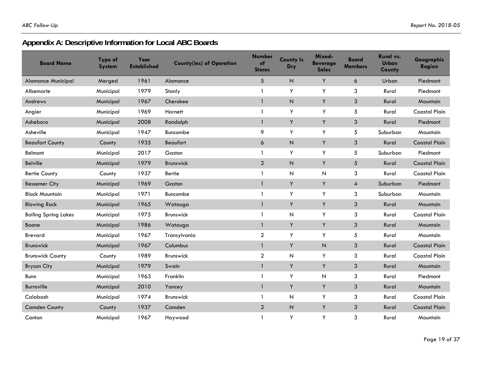# **Appendix A: Descriptive Information for Local ABC Boards**

| <b>Board Name</b>           | Type of<br><b>System</b> | Year<br><b>Established</b> | <b>County(ies) of Operation</b> | <b>Number</b><br>of<br><b>Stores</b> | <b>County Is</b><br>Dry | Mixed-<br><b>Beverage</b><br><b>Sales</b> | Board<br><b>Members</b> | Rural vs.<br>Urban<br>County | Geographic<br><b>Region</b> |
|-----------------------------|--------------------------|----------------------------|---------------------------------|--------------------------------------|-------------------------|-------------------------------------------|-------------------------|------------------------------|-----------------------------|
| <b>Alamance Municipal</b>   | Merged                   | 1961                       | Alamance                        | 5                                    | N                       | Y                                         | 6                       | Urban                        | Piedmont                    |
| Albemarle                   | Municipal                | 1979                       | Stanly                          | 1                                    | Y                       | Υ                                         | 3                       | Rural                        | Piedmont                    |
| Andrews                     | Municipal                | 1967                       | Cherokee                        | $\mathbf{1}$                         | N                       | Υ                                         | 3                       | Rural                        | Mountain                    |
| Angier                      | Municipal                | 1969                       | Harnett                         |                                      | Υ                       | Υ                                         | 5                       | Rural                        | <b>Coastal Plain</b>        |
| Asheboro                    | Municipal                | 2008                       | Randolph                        | $\mathbf{1}$                         | Y                       | Υ                                         | 3                       | Rural                        | Piedmont                    |
| Asheville                   | Municipal                | 1947                       | Buncombe                        | 9                                    | Y                       | Y                                         | 5                       | Suburban                     | Mountain                    |
| <b>Beaufort County</b>      | County                   | 1935                       | Beaufort                        | 6                                    | $\overline{N}$          | Y                                         | 3                       | Rural                        | <b>Coastal Plain</b>        |
| Belmont                     | Municipal                | 2017                       | Gaston                          | 1                                    | Υ                       | Y                                         | 5                       | Suburban                     | Piedmont                    |
| <b>Belville</b>             | Municipal                | 1979                       | <b>Brunswick</b>                | $\overline{a}$                       | $\mathsf N$             | Y                                         | 5                       | Rural                        | <b>Coastal Plain</b>        |
| <b>Bertie County</b>        | County                   | 1937                       | <b>Bertie</b>                   | 1                                    | Ν                       | $\overline{N}$                            | 3                       | Rural                        | <b>Coastal Plain</b>        |
| <b>Bessemer City</b>        | Municipal                | 1969                       | Gaston                          | $\mathbf{1}$                         | Y                       | Y                                         | $\overline{4}$          | Suburban                     | Piedmont                    |
| <b>Black Mountain</b>       | Municipal                | 1971                       | Buncombe                        | 1                                    | Y                       | Y                                         | 3                       | Suburban                     | Mountain                    |
| <b>Blowing Rock</b>         | Municipal                | 1965                       | Watauga                         | $\mathbf{1}$                         | Y                       | Y                                         | 3                       | Rural                        | Mountain                    |
| <b>Boiling Spring Lakes</b> | Municipal                | 1975                       | <b>Brunswick</b>                | 1                                    | N                       | Y                                         | 3                       | Rural                        | <b>Coastal Plain</b>        |
| Boone                       | Municipal                | 1986                       | Watauga                         | $\mathbf{1}$                         | Y                       | Y                                         | 3                       | Rural                        | Mountain                    |
| <b>Brevard</b>              | Municipal                | 1967                       | Transylvania                    | $\overline{a}$                       | Υ                       | Y                                         | 5                       | Rural                        | Mountain                    |
| Brunswick                   | Municipal                | 1967                       | Columbus                        | 1                                    | Υ                       | $\mathsf N$                               | $\mathfrak{S}$          | Rural                        | <b>Coastal Plain</b>        |
| <b>Brunswick County</b>     | County                   | 1989                       | <b>Brunswick</b>                | $\overline{a}$                       | N                       | Y                                         | 3                       | Rural                        | <b>Coastal Plain</b>        |
| <b>Bryson City</b>          | Municipal                | 1979                       | Swain                           | $\mathbf{1}$                         | Y                       | Y                                         | 3                       | Rural                        | Mountain                    |
| Bunn                        | Municipal                | 1963                       | Franklin                        | 1                                    | Y                       | $\overline{N}$                            | 3                       | Rural                        | Piedmont                    |
| Burnsville                  | Municipal                | 2010                       | Yancey                          | $\mathbf{1}$                         | Y                       | Y                                         | 3                       | Rural                        | Mountain                    |
| Calabash                    | Municipal                | 1974                       | Brunswick                       | 1                                    | Ν                       | Y                                         | 3                       | Rural                        | <b>Coastal Plain</b>        |
| <b>Camden County</b>        | County                   | 1937                       | Camden                          | $\overline{a}$                       | $\mathsf N$             | Y                                         | 3                       | Rural                        | <b>Coastal Plain</b>        |
| Canton                      | Municipal                | 1967                       | Haywood                         |                                      | Y                       | Y                                         | 3                       | Rural                        | Mountain                    |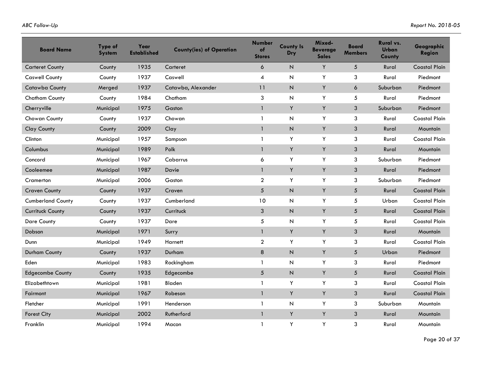| <b>Board Name</b>        | Type of<br><b>System</b> | Year<br><b>Established</b> | <b>County(ies) of Operation</b> | <b>Number</b><br>of<br><b>Stores</b> | <b>County Is</b><br>Dry | Mixed-<br><b>Beverage</b><br><b>Sales</b> | <b>Board</b><br><b>Members</b> | Rural vs.<br>Urban<br>County | Geographic<br><b>Region</b> |
|--------------------------|--------------------------|----------------------------|---------------------------------|--------------------------------------|-------------------------|-------------------------------------------|--------------------------------|------------------------------|-----------------------------|
| <b>Carteret County</b>   | County                   | 1935                       | Carteret                        | 6                                    | N                       | Y                                         | $\sqrt{5}$                     | Rural                        | <b>Coastal Plain</b>        |
| <b>Caswell County</b>    | County                   | 1937                       | Caswell                         | 4                                    | N                       | Y                                         | 3                              | Rural                        | Piedmont                    |
| <b>Catawba County</b>    | Merged                   | 1937                       | Catawba, Alexander              | 11                                   | $\mathsf{N}$            | Y                                         | 6                              | Suburban                     | Piedmont                    |
| Chatham County           | County                   | 1984                       | Chatham                         | 3                                    | ${\sf N}$               | Y                                         | 5                              | Rural                        | Piedmont                    |
| Cherryville              | Municipal                | 1975                       | Gaston                          | $\mathbf{1}$                         | Y                       | Y                                         | 3                              | Suburban                     | Piedmont                    |
| Chowan County            | County                   | 1937                       | Chowan                          | $\mathbf{1}$                         | N                       | Y                                         | 3                              | Rural                        | <b>Coastal Plain</b>        |
| Clay County              | County                   | 2009                       | Clay                            | $\mathbf{1}$                         | $\sf N$                 | Y                                         | $\sqrt{3}$                     | Rural                        | Mountain                    |
| Clinton                  | Municipal                | 1957                       | Sampson                         | 1                                    | Y                       | Y                                         | 3                              | Rural                        | <b>Coastal Plain</b>        |
| Columbus                 | Municipal                | 1989                       | Polk                            | $\mathbf{1}$                         | Y                       | Y                                         | 3                              | Rural                        | Mountain                    |
| Concord                  | Municipal                | 1967                       | Cabarrus                        | 6                                    | Υ                       | Y                                         | 3                              | Suburban                     | Piedmont                    |
| Cooleemee                | Municipal                | 1987                       | Davie                           | $\mathbf{1}$                         | Y                       | Y                                         | 3                              | Rural                        | Piedmont                    |
| Cramerton                | Municipal                | 2006                       | Gaston                          | $\overline{2}$                       | Y                       | Y                                         | 3                              | Suburban                     | Piedmont                    |
| <b>Craven County</b>     | County                   | 1937                       | Craven                          | $5\phantom{.0}$                      | $\overline{N}$          | Y                                         | 5                              | Rural                        | <b>Coastal Plain</b>        |
| <b>Cumberland County</b> | County                   | 1937                       | Cumberland                      | 10                                   | N                       | Y                                         | 5                              | Urban                        | <b>Coastal Plain</b>        |
| <b>Currituck County</b>  | County                   | 1937                       | Currituck                       | 3                                    | $\mathsf N$             | Y                                         | $\sqrt{5}$                     | Rural                        | <b>Coastal Plain</b>        |
| <b>Dare County</b>       | County                   | 1937                       | Dare                            | 5                                    | N                       | Y                                         | 5                              | Rural                        | <b>Coastal Plain</b>        |
| Dobson                   | Municipal                | 1971                       | Surry                           | 1                                    | Y                       | Y                                         | 3                              | Rural                        | Mountain                    |
| Dunn                     | Municipal                | 1949                       | Harnett                         | $\overline{a}$                       | Υ                       | Y                                         | 3                              | Rural                        | <b>Coastal Plain</b>        |
| <b>Durham County</b>     | County                   | 1937                       | Durham                          | 8                                    | $\mathsf N$             | Y                                         | 5                              | Urban                        | Piedmont                    |
| Eden                     | Municipal                | 1983                       | Rockingham                      | 1                                    | N                       | Y                                         | 3                              | Rural                        | Piedmont                    |
| <b>Edgecombe County</b>  | County                   | 1935                       | Edgecombe                       | 5                                    | $\mathsf N$             | Y                                         | $\sqrt{5}$                     | Rural                        | <b>Coastal Plain</b>        |
| Elizabethtown            | Municipal                | 1981                       | Bladen                          | 1                                    | Y                       | Y                                         | 3                              | Rural                        | <b>Coastal Plain</b>        |
| Fairmont                 | Municipal                | 1967                       | Robeson                         | $\mathbf{1}$                         | Υ                       | Y                                         | $\mathfrak{S}$                 | Rural                        | <b>Coastal Plain</b>        |
| Fletcher                 | Municipal                | 1991                       | Henderson                       | $\mathbf{1}$                         | $\mathsf{N}$            | Y                                         | 3                              | Suburban                     | Mountain                    |
| <b>Forest City</b>       | Municipal                | 2002                       | Rutherford                      | $\mathbf{1}$                         | Y                       | Y                                         | 3                              | Rural                        | Mountain                    |
| Franklin                 | Municipal                | 1994                       | Macon                           | 1                                    | Y                       | Y                                         | 3                              | Rural                        | Mountain                    |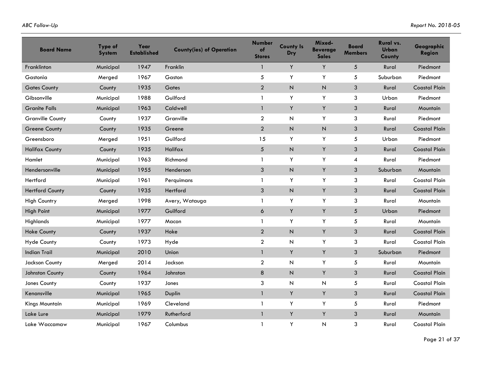| <b>Board Name</b>       | Type of<br><b>System</b> | Year<br><b>Established</b> | <b>County(ies) of Operation</b> | <b>Number</b><br>of<br><b>Stores</b> | <b>County Is</b><br>Dry   | Mixed-<br><b>Beverage</b><br><b>Sales</b> | Board<br><b>Members</b> | Rural vs.<br><b>Urban</b><br>County | Geographic<br><b>Region</b> |
|-------------------------|--------------------------|----------------------------|---------------------------------|--------------------------------------|---------------------------|-------------------------------------------|-------------------------|-------------------------------------|-----------------------------|
| Franklinton             | Municipal                | 1947                       | Franklin                        | 1                                    | Y                         | Y                                         | 5                       | Rural                               | Piedmont                    |
| Gastonia                | Merged                   | 1967                       | Gaston                          | 5                                    | Υ                         | Y                                         | 5                       | Suburban                            | Piedmont                    |
| <b>Gates County</b>     | County                   | 1935                       | Gates                           | $\overline{2}$                       | $\mathsf{N}$              | N                                         | 3                       | Rural                               | <b>Coastal Plain</b>        |
| Gibsonville             | Municipal                | 1988                       | Guilford                        | 1                                    | Y                         | Y                                         | 3                       | Urban                               | Piedmont                    |
| <b>Granite Falls</b>    | Municipal                | 1963                       | Caldwell                        | $\mathbf{1}$                         | Y                         | Y                                         | $\mathbf{3}$            | Rural                               | Mountain                    |
| <b>Granville County</b> | County                   | 1937                       | Granville                       | 2                                    | N                         | Y                                         | 3                       | Rural                               | Piedmont                    |
| <b>Greene County</b>    | County                   | 1935                       | Greene                          | $\overline{2}$                       | $\mathsf N$               | N                                         | $\mathbf{3}$            | Rural                               | <b>Coastal Plain</b>        |
| Greensboro              | Merged                   | 1951                       | Guilford                        | 15                                   | Y                         | Y                                         | 5                       | Urban                               | Piedmont                    |
| <b>Halifax County</b>   | County                   | 1935                       | Halifax                         | 5                                    | $\mathsf{N}$              | Y                                         | 3                       | Rural                               | <b>Coastal Plain</b>        |
| Hamlet                  | Municipal                | 1963                       | Richmond                        | 1                                    | Υ                         | Y                                         | 4                       | Rural                               | Piedmont                    |
| Hendersonville          | Municipal                | 1955                       | Henderson                       | $\mathbf{3}$                         | $\mathsf N$               | Y                                         | 3                       | Suburban                            | Mountain                    |
| Hertford                | Municipal                | 1961                       | Perquimans                      | 1                                    | Y                         | Y                                         | 3                       | Rural                               | <b>Coastal Plain</b>        |
| <b>Hertford County</b>  | County                   | 1935                       | Hertford                        | 3                                    | $\overline{N}$            | Y                                         | 3                       | Rural                               | <b>Coastal Plain</b>        |
| <b>High Country</b>     | Merged                   | 1998                       | Avery, Watauga                  | 1                                    | Y                         | Y                                         | 3                       | Rural                               | Mountain                    |
| <b>High Point</b>       | Municipal                | 1977                       | Guilford                        | 6                                    | Y                         | Y                                         | 5                       | Urban                               | Piedmont                    |
| Highlands               | Municipal                | 1977                       | Macon                           | 1                                    | Υ                         | Y                                         | 5                       | Rural                               | Mountain                    |
| <b>Hoke County</b>      | County                   | 1937                       | Hoke                            | $\overline{2}$                       | $\boldsymbol{\mathsf{N}}$ | Y                                         | 3                       | Rural                               | <b>Coastal Plain</b>        |
| <b>Hyde County</b>      | County                   | 1973                       | Hyde                            | $\overline{a}$                       | ${\sf N}$                 | Y                                         | 3                       | Rural                               | <b>Coastal Plain</b>        |
| <b>Indian Trail</b>     | Municipal                | 2010                       | Union                           | $\mathbf{1}$                         | Y                         | Y                                         | 3                       | Suburban                            | Piedmont                    |
| <b>Jackson County</b>   | Merged                   | 2014                       | Jackson                         | $\mathbf{2}$                         | N                         | Y                                         | 5                       | Rural                               | Mountain                    |
| Johnston County         | County                   | 1964                       | Johnston                        | $\bf 8$                              | $\mathsf N$               | Y                                         | 3                       | Rural                               | <b>Coastal Plain</b>        |
| Jones County            | County                   | 1937                       | Jones                           | 3                                    | N                         | N                                         | 5                       | Rural                               | <b>Coastal Plain</b>        |
| Kenansville             | Municipal                | 1965                       | Duplin                          | $\mathbf{1}$                         | Y                         | Y                                         | 3                       | Rural                               | <b>Coastal Plain</b>        |
| Kings Mountain          | Municipal                | 1969                       | Cleveland                       | $\mathbf{1}$                         | Υ                         | Y                                         | 5                       | Rural                               | Piedmont                    |
| Lake Lure               | Municipal                | 1979                       | Rutherford                      | $\mathbf{1}$                         | Y                         | Y                                         | 3                       | Rural                               | Mountain                    |
| Lake Waccamaw           | Municipal                | 1967                       | Columbus                        | 1                                    | Y                         | N                                         | 3                       | Rural                               | <b>Coastal Plain</b>        |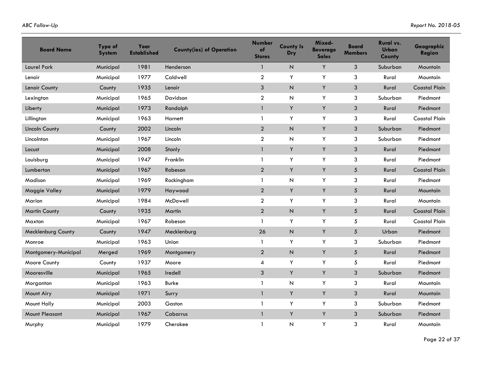| <b>Board Name</b>     | Type of<br><b>System</b> | Year<br><b>Established</b> | <b>County(ies) of Operation</b> | <b>Number</b><br>of<br><b>Stores</b> | <b>County Is</b><br>Dry | Mixed-<br><b>Beverage</b><br><b>Sales</b> | <b>Board</b><br><b>Members</b> | Rural vs.<br><b>Urban</b><br>County | Geographic<br><b>Region</b> |
|-----------------------|--------------------------|----------------------------|---------------------------------|--------------------------------------|-------------------------|-------------------------------------------|--------------------------------|-------------------------------------|-----------------------------|
| <b>Laurel Park</b>    | Municipal                | 1981                       | Henderson                       | 1                                    | N                       | Y                                         | 3                              | Suburban                            | Mountain                    |
| Lenoir                | Municipal                | 1977                       | Caldwell                        | $\boldsymbol{2}$                     | Y                       | Y                                         | 3                              | Rural                               | Mountain                    |
| Lenoir County         | County                   | 1935                       | Lenoir                          | $\mathfrak{S}$                       | $\overline{N}$          | Y                                         | $\sqrt{3}$                     | Rural                               | <b>Coastal Plain</b>        |
| Lexington             | Municipal                | 1965                       | Davidson                        | $\overline{2}$                       | N                       | Y                                         | 3                              | Suburban                            | Piedmont                    |
| Liberty               | Municipal                | 1973                       | Randolph                        | $\mathbf{1}$                         | Y                       | Y                                         | $\mathfrak{Z}$                 | Rural                               | Piedmont                    |
| Lillington            | Municipal                | 1963                       | Harnett                         | $\mathbf{1}$                         | Y                       | Y                                         | 3                              | Rural                               | <b>Coastal Plain</b>        |
| <b>Lincoln County</b> | County                   | 2002                       | Lincoln                         | $\overline{2}$                       | $\sf N$                 | Y                                         | $\mathfrak{S}$                 | Suburban                            | Piedmont                    |
| Lincolnton            | Municipal                | 1967                       | Lincoln                         | $\overline{2}$                       | N                       | Y                                         | 3                              | Suburban                            | Piedmont                    |
| Locust                | Municipal                | 2008                       | Stanly                          | $\mathbf{1}$                         | Y                       | Y                                         | 3                              | Rural                               | Piedmont                    |
| Louisburg             | Municipal                | 1947                       | Franklin                        | $\mathbf{1}$                         | Υ                       | Y                                         | 3                              | Rural                               | Piedmont                    |
| Lumberton             | Municipal                | 1967                       | Robeson                         | $\overline{2}$                       | Y                       | Y                                         | $\sqrt{5}$                     | Rural                               | <b>Coastal Plain</b>        |
| Madison               | Municipal                | 1969                       | Rockingham                      | 1                                    | N                       | Y                                         | 3                              | Rural                               | Piedmont                    |
| Maggie Valley         | Municipal                | 1979                       | Haywood                         | $\overline{2}$                       | Y                       | Y                                         | $\sqrt{5}$                     | Rural                               | Mountain                    |
| Marion                | Municipal                | 1984                       | McDowell                        | $\overline{2}$                       | Y                       | Y                                         | 3                              | Rural                               | Mountain                    |
| <b>Martin County</b>  | County                   | 1935                       | Martin                          | $\overline{2}$                       | $\sf N$                 | Y                                         | 5                              | Rural                               | <b>Coastal Plain</b>        |
| Maxton                | Municipal                | 1967                       | Robeson                         | $\mathbf{1}$                         | Υ                       | Y                                         | 5                              | Rural                               | <b>Coastal Plain</b>        |
| Mecklenburg County    | County                   | 1947                       | Mecklenburg                     | 26                                   | $\sf N$                 | Y                                         | $\sqrt{5}$                     | Urban                               | Piedmont                    |
| Monroe                | Municipal                | 1963                       | Union                           | 1                                    | Υ                       | Y                                         | 3                              | Suburban                            | Piedmont                    |
| Montgomery-Municipal  | Merged                   | 1969                       | Montgomery                      | $\overline{2}$                       | $\mathsf N$             | Y                                         | 5                              | Rural                               | Piedmont                    |
| Moore County          | County                   | 1937                       | Moore                           | 4                                    | Y                       | Y                                         | 5                              | Rural                               | Piedmont                    |
| Mooresville           | Municipal                | 1965                       | Iredell                         | 3                                    | Y                       | Y                                         | 3                              | Suburban                            | Piedmont                    |
| Morganton             | Municipal                | 1963                       | Burke                           | 1                                    | N                       | Y                                         | 3                              | Rural                               | Mountain                    |
| Mount Airy            | Municipal                | 1971                       | Surry                           | $\mathbf{1}$                         | Y                       | Y                                         | $\mathfrak{S}$                 | Rural                               | Mountain                    |
| Mount Holly           | Municipal                | 2003                       | Gaston                          | $\mathbf{1}$                         | Υ                       | Y                                         | 3                              | Suburban                            | Piedmont                    |
| <b>Mount Pleasant</b> | Municipal                | 1967                       | Cabarrus                        | $\mathbf{1}$                         | Y                       | Y                                         | 3                              | Suburban                            | Piedmont                    |
| Murphy                | Municipal                | 1979                       | Cherokee                        | $\mathbf{1}$                         | N                       | Y                                         | 3                              | Rural                               | Mountain                    |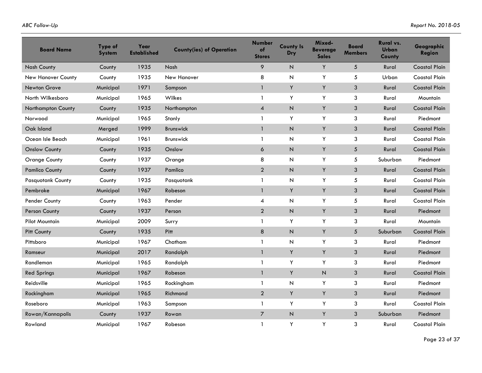| <b>Board Name</b>        | Type of<br><b>System</b> | Year<br><b>Established</b> | <b>County(ies) of Operation</b> | <b>Number</b><br>of<br><b>Stores</b> | <b>County Is</b><br><b>Dry</b> | Mixed-<br><b>Beverage</b><br><b>Sales</b> | <b>Board</b><br><b>Members</b> | Rural vs.<br><b>Urban</b><br>County | Geographic<br>Region |
|--------------------------|--------------------------|----------------------------|---------------------------------|--------------------------------------|--------------------------------|-------------------------------------------|--------------------------------|-------------------------------------|----------------------|
| <b>Nash County</b>       | County                   | 1935                       | Nash                            | 9                                    | N                              | Y                                         | 5                              | Rural                               | <b>Coastal Plain</b> |
| New Hanover County       | County                   | 1935                       | New Hanover                     | 8                                    | N                              | Y                                         | 5                              | Urban                               | <b>Coastal Plain</b> |
| <b>Newton Grove</b>      | Municipal                | 1971                       | Sampson                         | 1                                    | Y                              | Y                                         | 3                              | Rural                               | <b>Coastal Plain</b> |
| North Wilkesboro         | Municipal                | 1965                       | Wilkes                          | 1                                    | Υ                              | Y                                         | 3                              | Rural                               | Mountain             |
| Northampton County       | County                   | 1935                       | Northampton                     | $\overline{4}$                       | $\overline{N}$                 | Y                                         | $\mathfrak{S}$                 | Rural                               | <b>Coastal Plain</b> |
| Norwood                  | Municipal                | 1965                       | Stanly                          | 1                                    | Y                              | Y                                         | 3                              | Rural                               | Piedmont             |
| Oak Island               | Merged                   | 1999                       | Brunswick                       | $\mathbf{1}$                         | $\mathsf N$                    | Y                                         | 3                              | Rural                               | <b>Coastal Plain</b> |
| Ocean Isle Beach         | Municipal                | 1961                       | <b>Brunswick</b>                | 1                                    | И                              | Y                                         | 3                              | Rural                               | <b>Coastal Plain</b> |
| <b>Onslow County</b>     | County                   | 1935                       | Onslow                          | 6                                    | $\overline{N}$                 | Y                                         | 5                              | Rural                               | <b>Coastal Plain</b> |
| <b>Orange County</b>     | County                   | 1937                       | Orange                          | 8                                    | И                              | Υ                                         | 5                              | Suburban                            | Piedmont             |
| <b>Pamlico County</b>    | County                   | 1937                       | Pamlico                         | $\overline{2}$                       | $\boldsymbol{\mathsf{N}}$      | Y                                         | 3                              | Rural                               | <b>Coastal Plain</b> |
| <b>Pasquotank County</b> | County                   | 1935                       | Pasquotank                      | 1                                    | Ν                              | Y                                         | 5                              | Rural                               | <b>Coastal Plain</b> |
| Pembroke                 | Municipal                | 1967                       | Robeson                         | $\mathbf{1}$                         | Y                              | Y                                         | 3                              | Rural                               | <b>Coastal Plain</b> |
| Pender County            | County                   | 1963                       | Pender                          | 4                                    | N                              | Y                                         | 5                              | Rural                               | <b>Coastal Plain</b> |
| Person County            | County                   | 1937                       | Person                          | $\overline{2}$                       | $\boldsymbol{\mathsf{N}}$      | Y                                         | 3                              | Rural                               | Piedmont             |
| <b>Pilot Mountain</b>    | Municipal                | 2009                       | Surry                           | 1                                    | Y                              | Υ                                         | 3                              | Rural                               | Mountain             |
| Pitt County              | County                   | 1935                       | Pitt                            | 8                                    | $\overline{N}$                 | Y                                         | 5                              | Suburban                            | <b>Coastal Plain</b> |
| Pittsboro                | Municipal                | 1967                       | Chatham                         | 1                                    | И                              | Y                                         | 3                              | Rural                               | Piedmont             |
| Ramseur                  | Municipal                | 2017                       | Randolph                        | $\mathbf{1}$                         | Y                              | Y                                         | 3                              | Rural                               | Piedmont             |
| Randleman                | Municipal                | 1965                       | Randolph                        | 1                                    | Y                              | Y                                         | 3                              | Rural                               | Piedmont             |
| <b>Red Springs</b>       | Municipal                | 1967                       | Robeson                         | $\mathbf{1}$                         | Υ                              | N                                         | 3                              | Rural                               | <b>Coastal Plain</b> |
| Reidsville               | Municipal                | 1965                       | Rockingham                      | 1                                    | N                              | Y                                         | 3                              | Rural                               | Piedmont             |
| Rockingham               | Municipal                | 1965                       | Richmond                        | $\overline{2}$                       | Y                              | Y                                         | 3                              | Rural                               | Piedmont             |
| Roseboro                 | Municipal                | 1963                       | Sampson                         | 1                                    | Y                              | Y                                         | 3                              | Rural                               | <b>Coastal Plain</b> |
| Rowan/Kannapolis         | County                   | 1937                       | Rowan                           | $\overline{7}$                       | $\overline{N}$                 | Y                                         | 3                              | Suburban                            | Piedmont             |
| Rowland                  | Municipal                | 1967                       | Robeson                         | 1                                    | Y                              | Y                                         | 3                              | Rural                               | <b>Coastal Plain</b> |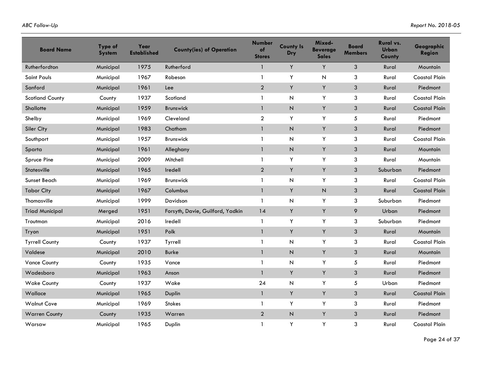| <b>Board Name</b>      | Type of<br><b>System</b> | Year<br><b>Established</b> | <b>County(ies) of Operation</b>  | <b>Number</b><br>of<br><b>Stores</b> | <b>County Is</b><br>Dry | Mixed-<br><b>Beverage</b><br><b>Sales</b> | Board<br><b>Members</b> | Rural vs.<br><b>Urban</b><br>County | Geographic<br>Region |
|------------------------|--------------------------|----------------------------|----------------------------------|--------------------------------------|-------------------------|-------------------------------------------|-------------------------|-------------------------------------|----------------------|
| Rutherfordton          | Municipal                | 1975                       | Rutherford                       | $\mathbf{1}$                         | Y                       | Y                                         | 3                       | Rural                               | Mountain             |
| Saint Pauls            | Municipal                | 1967                       | Robeson                          | 1                                    | Y                       | N                                         | 3                       | Rural                               | <b>Coastal Plain</b> |
| Sanford                | Municipal                | 1961                       | Lee                              | $\overline{2}$                       | Υ                       | Y                                         | $\mathsf 3$             | Rural                               | Piedmont             |
| <b>Scotland County</b> | County                   | 1937                       | Scotland                         | $\mathbf{1}$                         | ${\sf N}$               | Y                                         | 3                       | Rural                               | <b>Coastal Plain</b> |
| Shallotte              | Municipal                | 1959                       | <b>Brunswick</b>                 | $\mathbf{1}$                         | N                       | Y                                         | $\mathfrak{Z}$          | Rural                               | <b>Coastal Plain</b> |
| Shelby                 | Municipal                | 1969                       | Cleveland                        | $\overline{2}$                       | Y                       | Y                                         | 5                       | Rural                               | Piedmont             |
| Siler City             | Municipal                | 1983                       | Chatham                          | $\mathbf{1}$                         | $\sf N$                 | Y                                         | 3                       | Rural                               | Piedmont             |
| Southport              | Municipal                | 1957                       | <b>Brunswick</b>                 | $\mathbf{1}$                         | $\mathsf{N}$            | Y                                         | 3                       | Rural                               | <b>Coastal Plain</b> |
| Sparta                 | Municipal                | 1961                       | Alleghany                        | 1                                    | $\mathsf{N}$            | Y                                         | 3                       | Rural                               | Mountain             |
| Spruce Pine            | Municipal                | 2009                       | Mitchell                         | $\mathbf{1}$                         | Υ                       | Y                                         | 3                       | Rural                               | Mountain             |
| <b>Statesville</b>     | Municipal                | 1965                       | Iredell                          | $\overline{2}$                       | Υ                       | Y                                         | 3                       | Suburban                            | Piedmont             |
| Sunset Beach           | Municipal                | 1969                       | <b>Brunswick</b>                 | $\mathbf{1}$                         | $\mathsf{N}$            | Y                                         | 3                       | Rural                               | <b>Coastal Plain</b> |
| <b>Tabor City</b>      | Municipal                | 1967                       | Columbus                         | $\mathbf{1}$                         | Υ                       | $\mathsf{N}$                              | 3                       | Rural                               | <b>Coastal Plain</b> |
| Thomasville            | Municipal                | 1999                       | Davidson                         | 1                                    | $\mathsf{N}$            | Y                                         | 3                       | Suburban                            | Piedmont             |
| <b>Triad Municipal</b> | Merged                   | 1951                       | Forsyth, Davie, Guilford, Yadkin | 14                                   | Υ                       | Y                                         | 9                       | Urban                               | Piedmont             |
| Troutman               | Municipal                | 2016                       | Iredell                          | $\mathbf{1}$                         | Υ                       | Y                                         | 3                       | Suburban                            | Piedmont             |
| Tryon                  | Municipal                | 1951                       | Polk                             | $\mathbf{1}$                         | Υ                       | Y                                         | 3                       | Rural                               | Mountain             |
| <b>Tyrrell County</b>  | County                   | 1937                       | Tyrrell                          | $\mathbf{1}$                         | $\mathsf{N}$            | Y                                         | 3                       | Rural                               | <b>Coastal Plain</b> |
| Valdese                | Municipal                | 2010                       | <b>Burke</b>                     | $\mathbf{1}$                         | $\mathsf N$             | Y                                         | 3                       | Rural                               | Mountain             |
| <b>Vance County</b>    | County                   | 1935                       | Vance                            | $\mathbf{1}$                         | $\mathsf{N}$            | Y                                         | 5                       | Rural                               | Piedmont             |
| Wadesboro              | Municipal                | 1963                       | Anson                            |                                      | Υ                       | Y                                         | 3                       | Rural                               | Piedmont             |
| <b>Wake County</b>     | County                   | 1937                       | Wake                             | 24                                   | $\mathsf{N}$            | Y                                         | 5                       | Urban                               | Piedmont             |
| Wallace                | Municipal                | 1965                       | Duplin                           | $\mathbf{1}$                         | Υ                       | Y                                         | 3                       | Rural                               | <b>Coastal Plain</b> |
| <b>Walnut Cove</b>     | Municipal                | 1969                       | <b>Stokes</b>                    | $\mathbf{1}$                         | Υ                       | Y                                         | 3                       | Rural                               | Piedmont             |
| <b>Warren County</b>   | County                   | 1935                       | Warren                           | $\overline{2}$                       | $\mathsf{N}$            | Y                                         | 3                       | Rural                               | Piedmont             |
| Warsaw                 | Municipal                | 1965                       | Duplin                           | $\mathbf{1}$                         | Y                       | Y                                         | 3                       | Rural                               | <b>Coastal Plain</b> |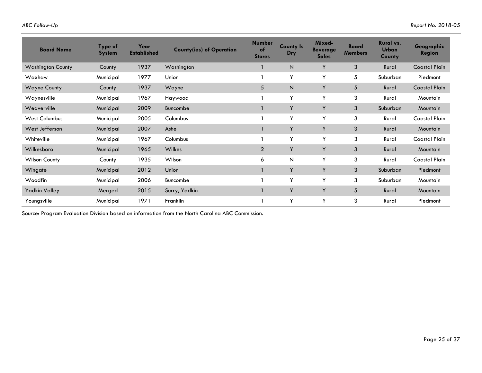| <b>Board Name</b>        | Type of<br><b>System</b> | Year<br><b>Established</b> | <b>County(ies) of Operation</b> | <b>Number</b><br>of<br><b>Stores</b> | <b>County Is</b><br>Dry | Mixed-<br><b>Beverage</b><br><b>Sales</b> | <b>Board</b><br><b>Members</b> | Rural vs.<br><b>Urban</b><br><b>County</b> | Geographic<br><b>Region</b> |
|--------------------------|--------------------------|----------------------------|---------------------------------|--------------------------------------|-------------------------|-------------------------------------------|--------------------------------|--------------------------------------------|-----------------------------|
| <b>Washington County</b> | County                   | 1937                       | Washington                      |                                      | N                       | Y                                         | 3                              | Rural                                      | <b>Coastal Plain</b>        |
| Waxhaw                   | Municipal                | 1977                       | Union                           |                                      | Y                       | Y                                         | 5                              | Suburban                                   | Piedmont                    |
| <b>Wayne County</b>      | County                   | 1937                       | Wayne                           | 5                                    | N                       | Y                                         | 5                              | Rural                                      | <b>Coastal Plain</b>        |
| Waynesville              | Municipal                | 1967                       | Haywood                         |                                      | Y                       | Y                                         | 3                              | Rural                                      | Mountain                    |
| Weaverville              | Municipal                | 2009                       | Buncombe                        |                                      | Y                       | Y                                         | 3                              | Suburban                                   | Mountain                    |
| <b>West Columbus</b>     | Municipal                | 2005                       | Columbus                        |                                      | Y                       | Y                                         | 3                              | Rural                                      | <b>Coastal Plain</b>        |
| West Jefferson           | Municipal                | 2007                       | Ashe                            |                                      | Y                       | Y                                         | 3                              | Rural                                      | <b>Mountain</b>             |
| Whiteville               | Municipal                | 1967                       | Columbus                        |                                      | Y                       | Y                                         | 3                              | Rural                                      | <b>Coastal Plain</b>        |
| Wilkesboro               | Municipal                | 1965                       | Wilkes                          | $\overline{2}$                       | Y                       | Y                                         | 3                              | Rural                                      | Mountain                    |
| <b>Wilson County</b>     | County                   | 1935                       | Wilson                          | 6                                    | N                       | Y                                         | 3                              | Rural                                      | <b>Coastal Plain</b>        |
| Wingate                  | Municipal                | 2012                       | Union                           |                                      | Y                       | Y                                         | 3                              | Suburban                                   | Piedmont                    |
| Woodfin                  | Municipal                | 2006                       | Buncombe                        |                                      | Y                       | Y                                         | 3                              | Suburban                                   | Mountain                    |
| <b>Yadkin Valley</b>     | Merged                   | 2015                       | Surry, Yadkin                   |                                      | Y                       | Y                                         | 5                              | Rural                                      | Mountain                    |
| Youngsville              | Municipal                | 1971                       | Franklin                        |                                      | Y                       | Y                                         | 3                              | Rural                                      | Piedmont                    |

Source: Program Evaluation Division based on information from the North Carolina ABC Commission.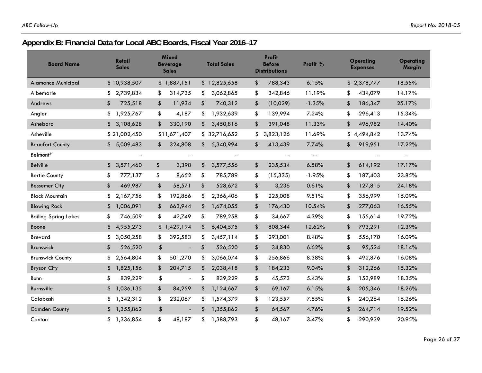## **Appendix B: Financial Data for Local ABC Boards, Fiscal Year 2016–17**

| <b>Board Name</b>           | <b>Retail</b><br><b>Sales</b> | <b>Mixed</b><br><b>Beverage</b><br><b>Sales</b> | <b>Total Sales</b>       | <b>Profit</b><br><b>Before</b><br><b>Distributions</b> | Profit %                 | Operating<br><b>Expenses</b> | <b>Operating</b><br>Margin |
|-----------------------------|-------------------------------|-------------------------------------------------|--------------------------|--------------------------------------------------------|--------------------------|------------------------------|----------------------------|
| <b>Alamance Municipal</b>   | \$10,938,507                  | \$1,887,151                                     | \$12,825,658             | \$<br>788,343                                          | 6.15%                    | \$2,378,777                  | 18.55%                     |
| Albemarle                   | 2,739,834<br>S.               | \$<br>314,735                                   | 3,062,865<br>\$          | \$<br>342,846                                          | 11.19%                   | \$<br>434,079                | 14.17%                     |
| Andrews                     | 725,518<br>\$                 | 11,934<br>\$                                    | 740,312<br>\$            | \$<br>(10,029)                                         | $-1.35%$                 | \$<br>186,347                | 25.17%                     |
| Angier                      | 1,925,767<br>\$               | \$<br>4,187                                     | \$<br>1,932,639          | \$<br>139,994                                          | 7.24%                    | \$<br>296,413                | 15.34%                     |
| Asheboro                    | 3,108,628<br>\$               | \$<br>330,190                                   | 3,450,816<br>\$          | \$<br>391,048                                          | 11.33%                   | \$<br>496,982                | 14.40%                     |
| Asheville                   | \$21,002,450                  | \$11,671,407                                    | \$32,716,652             | 3,823,126<br>\$                                        | 11.69%                   | \$<br>4,494,842              | 13.74%                     |
| <b>Beaufort County</b>      | 5,009,483<br>\$               | 324,808<br>\$                                   | 5,340,994<br>\$          | \$<br>413,439                                          | 7.74%                    | \$<br>919,951                | 17.22%                     |
| Belmont*                    | $\overline{\phantom{0}}$      | $\qquad \qquad -$                               | $\overline{\phantom{m}}$ | $\overline{\phantom{0}}$                               | $\overline{\phantom{m}}$ | $\overline{\phantom{0}}$     | $\overline{\phantom{m}}$   |
| <b>Belville</b>             | 3,571,460<br>\$               | 3,398<br>\$                                     | 3,577,556<br>\$          | 235,534<br>\$                                          | 6.58%                    | \$<br>614,192                | 17.17%                     |
| <b>Bertie County</b>        | \$<br>777,137                 | \$<br>8,652                                     | \$<br>785,789            | \$<br>(15, 335)                                        | $-1.95%$                 | \$<br>187,403                | 23.85%                     |
| <b>Bessemer City</b>        | \$<br>469,987                 | 58,571<br>\$                                    | \$<br>528,672            | \$<br>3,236                                            | 0.61%                    | \$<br>127,815                | 24.18%                     |
| <b>Black Mountain</b>       | 2,167,756<br>\$               | \$<br>192,866                                   | 2,366,406<br>\$          | \$<br>225,008                                          | 9.51%                    | \$<br>356,999                | 15.09%                     |
| <b>Blowing Rock</b>         | 1,006,091<br>\$               | \$<br>663,944                                   | \$<br>1,674,055          | \$<br>176,430                                          | 10.54%                   | \$<br>277,063                | 16.55%                     |
| <b>Boiling Spring Lakes</b> | 746,509<br>\$                 | \$<br>42,749                                    | \$<br>789,258            | \$<br>34,667                                           | 4.39%                    | \$<br>155,614                | 19.72%                     |
| Boone                       | 4,955,273<br>\$               | \$1,429,194                                     | 6,404,575<br>\$          | 808,344<br>\$                                          | 12.62%                   | \$<br>793,291                | 12.39%                     |
| <b>Brevard</b>              | 3,050,258<br>\$               | 392,583<br>\$                                   | \$<br>3,457,114          | \$<br>293,001                                          | 8.48%                    | 556,170<br>\$                | 16.09%                     |
| Brunswick                   | \$<br>526,520                 | \$<br>$\blacksquare$                            | \$<br>526,520            | \$<br>34,830                                           | 6.62%                    | \$<br>95,524                 | 18.14%                     |
| <b>Brunswick County</b>     | 2,564,804<br>\$               | \$<br>501,270                                   | \$<br>3,066,074          | \$<br>256,866                                          | 8.38%                    | \$<br>492,876                | 16.08%                     |
| <b>Bryson City</b>          | \$<br>1,825,156               | \$<br>204,715                                   | 2,038,418<br>\$          | \$<br>184,233                                          | 9.04%                    | \$<br>312,266                | 15.32%                     |
| Bunn                        | \$<br>839,229                 | \$<br>$\blacksquare$                            | \$<br>839,229            | \$<br>45,573                                           | 5.43%                    | \$<br>153,989                | 18.35%                     |
| <b>Burnsville</b>           | 1,036,135<br>\$               | \$<br>84,259                                    | 1,124,667<br>\$          | \$<br>69,167                                           | 6.15%                    | \$<br>205,346                | 18.26%                     |
| Calabash                    | 1,342,312<br>\$               | \$<br>232,067                                   | \$<br>1,574,379          | \$<br>123,557                                          | 7.85%                    | 240,264<br>\$                | 15.26%                     |
| <b>Camden County</b>        | 1,355,862<br>S.               | \$<br>$\blacksquare$                            | 1,355,862<br>\$          | \$<br>64,567                                           | 4.76%                    | \$<br>264,714                | 19.52%                     |
| Canton                      | 1,336,854<br>\$               | \$<br>48,187                                    | 1,388,793<br>\$          | \$<br>48,167                                           | 3.47%                    | \$<br>290,939                | 20.95%                     |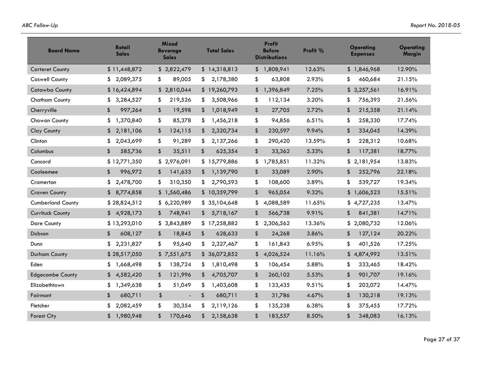| <b>Board Name</b>        | <b>Retail</b><br><b>Sales</b> | <b>Mixed</b><br><b>Beverage</b><br><b>Sales</b> | <b>Total Sales</b>                   | <b>Profit</b><br><b>Before</b><br><b>Distributions</b> | Profit % | Operating<br><b>Expenses</b> | <b>Operating</b><br><b>Margin</b> |
|--------------------------|-------------------------------|-------------------------------------------------|--------------------------------------|--------------------------------------------------------|----------|------------------------------|-----------------------------------|
| <b>Carteret County</b>   | \$11,448,872                  | \$2,822,479                                     | \$14,318,813                         | \$1,808,941                                            | 12.63%   | \$1,846,968                  | 12.90%                            |
| <b>Caswell County</b>    | 2,089,375<br>S.               | 89,005<br>\$                                    | 2,178,380<br>\$                      | \$<br>63,808                                           | 2.93%    | \$<br>460,684                | 21.15%                            |
| Catawba County           | \$16,424,894                  | \$2,810,044                                     | \$19,260,793                         | \$<br>1,396,849                                        | 7.25%    | \$<br>3,257,561              | 16.91%                            |
| <b>Chatham County</b>    | \$<br>3,284,527               | 219,526<br>\$                                   | \$<br>3,508,966                      | \$<br>112,134                                          | 3.20%    | \$<br>756,393                | 21.56%                            |
| Cherryville              | 997,264<br>\$                 | 19,598<br>\$                                    | 1,018,949<br>\$                      | \$<br>27,705                                           | 2.72%    | \$<br>215,358                | 21.14%                            |
| Chowan County            | \$<br>1,370,840               | \$<br>85,378                                    | \$<br>1,456,218                      | \$<br>94,856                                           | 6.51%    | 258,330<br>\$                | 17.74%                            |
| <b>Clay County</b>       | 2,181,106<br>\$               | \$<br>124,115                                   | 2,320,734<br>\$                      | \$<br>230,597                                          | 9.94%    | \$<br>334,045                | 14.39%                            |
| Clinton                  | 2,043,699<br>\$               | \$<br>91,289                                    | 2,137,266<br>\$                      | \$<br>290,420                                          | 13.59%   | \$<br>228,312                | 10.68%                            |
| Columbus                 | \$<br>585,736                 | \$<br>35,511                                    | \$<br>625,354                        | \$<br>33,362                                           | 5.33%    | \$<br>117,381                | 18.77%                            |
| Concord                  | \$12,771,350                  | \$2,976,091                                     | \$15,779,886                         | 1,785,851<br>\$                                        | 11.32%   | \$<br>2,181,954              | 13.83%                            |
| Cooleemee                | \$<br>996,972                 | 141,633<br>\$                                   | 1,139,790<br>\$                      | \$<br>33,089                                           | 2.90%    | \$<br>252,796                | 22.18%                            |
| Cramerton                | \$<br>2,478,700               | \$<br>310,350                                   | \$<br>2,790,593                      | \$<br>108,600                                          | 3.89%    | \$<br>539,727                | 19.34%                            |
| <b>Craven County</b>     | \$8,774,858                   | \$1,560,486                                     | \$10,359,799                         | \$<br>965,054                                          | 9.32%    | \$<br>1,606,523              | 15.51%                            |
| <b>Cumberland County</b> | \$28,824,512                  | \$6,220,989                                     | \$35,104,648                         | \$<br>4,088,589                                        | 11.65%   | \$<br>4,727,235              | 13.47%                            |
| Currituck County         | 4,928,173<br>\$               | 748,941<br>\$                                   | 5,718,167<br>\$                      | \$<br>566,738                                          | 9.91%    | \$<br>841,381                | 14.71%                            |
| <b>Dare County</b>       | \$13,293,010                  | \$3,843,889                                     | \$17,258,882                         | 2,306,562<br>\$                                        | 13.36%   | 2,080,732<br>\$              | 12.06%                            |
| Dobson                   | \$<br>608,127                 | 18,845<br>\$                                    | \$<br>628,633                        | \$<br>24,268                                           | 3.86%    | \$<br>127,124                | 20.22%                            |
| Dunn                     | \$<br>2,231,827               | \$<br>95,640                                    | \$<br>2,327,467                      | \$<br>161,843                                          | 6.95%    | \$<br>401,526                | 17.25%                            |
| Durham County            | \$28,517,050                  | \$7,551,675                                     | \$36,072,852                         | 4,026,524<br>\$                                        | 11.16%   | 4,874,992<br>\$              | 13.51%                            |
| Eden                     | \$<br>1,668,498               | 138,724<br>\$                                   | 1,810,498<br>\$                      | \$<br>106,454                                          | 5.88%    | \$<br>333,465                | 18.42%                            |
| <b>Edgecombe County</b>  | 4,582,420<br>\$               | 121,996<br>\$                                   | \$<br>4,705,707                      | \$<br>260,102                                          | 5.53%    | \$<br>901,707                | 19.16%                            |
| Elizabethtown            | \$<br>1,349,638               | \$<br>51,049                                    | 1,403,608<br>\$                      | \$<br>133,435                                          | 9.51%    | \$<br>203,072                | 14.47%                            |
| Fairmont                 | \$<br>680,711                 | \$<br>$\overline{\phantom{a}}$                  | $\boldsymbol{\mathsf{s}}$<br>680,711 | \$<br>31,786                                           | 4.67%    | \$<br>130,218                | 19.13%                            |
| Fletcher                 | \$<br>2,082,459               | \$<br>30,354                                    | \$<br>2,119,126                      | \$<br>135,238                                          | 6.38%    | \$<br>375,455                | 17.72%                            |
| <b>Forest City</b>       | 1,980,948<br>\$               | \$<br>170,646                                   | \$<br>2,158,638                      | \$<br>183,557                                          | 8.50%    | \$<br>348,083                | 16.13%                            |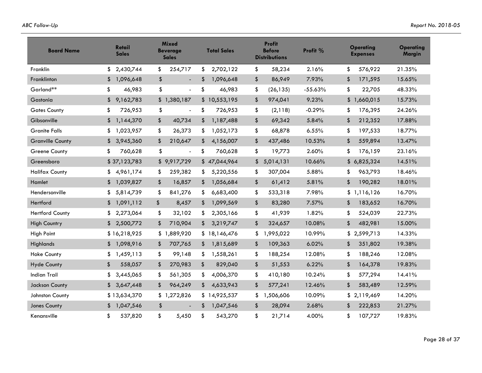| <b>Board Name</b>       | Retail<br><b>Sales</b> | <b>Mixed</b><br><b>Beverage</b><br><b>Sales</b> | <b>Total Sales</b> | <b>Profit</b><br><b>Before</b><br><b>Distributions</b> | Profit %  | <b>Operating</b><br><b>Expenses</b> | Operating<br><b>Margin</b> |
|-------------------------|------------------------|-------------------------------------------------|--------------------|--------------------------------------------------------|-----------|-------------------------------------|----------------------------|
| Franklin                | \$<br>2,430,744        | \$<br>254,717                                   | \$<br>2,702,122    | \$<br>58,234                                           | 2.16%     | \$<br>576,922                       | 21.35%                     |
| Franklinton             | 1,096,648<br>\$        | \$<br>$\overline{a}$                            | 1,096,648<br>\$    | \$<br>86,949                                           | 7.93%     | \$<br>171,595                       | 15.65%                     |
| Garland**               | \$<br>46,983           | \$<br>$\blacksquare$                            | \$<br>46,983       | \$<br>(26, 135)                                        | $-55.63%$ | \$<br>22,705                        | 48.33%                     |
| Gastonia                | 9,162,783<br>\$        | \$1,380,187                                     | \$10,553,195       | \$<br>974,041                                          | 9.23%     | \$<br>1,660,015                     | 15.73%                     |
| <b>Gates County</b>     | \$<br>726,953          | \$<br>$\overline{\phantom{a}}$                  | \$<br>726,953      | \$<br>(2,118)                                          | $-0.29%$  | \$<br>176,395                       | 24.26%                     |
| Gibsonville             | \$<br>1,144,370        | 40,734<br>\$                                    | \$<br>1,187,488    | \$<br>69,342                                           | 5.84%     | \$<br>212,352                       | 17.88%                     |
| <b>Granite Falls</b>    | 1,023,957<br>\$        | \$<br>26,373                                    | \$<br>1,052,173    | \$<br>68,878                                           | 6.55%     | 197,533<br>\$                       | 18.77%                     |
| <b>Granville County</b> | \$<br>3,945,360        | \$<br>210,647                                   | \$<br>4,156,007    | \$<br>437,486                                          | 10.53%    | \$<br>559,894                       | 13.47%                     |
| Greene County           | \$<br>760,628          | \$<br>$\overline{\phantom{a}}$                  | \$<br>760,628      | \$<br>19,773                                           | 2.60%     | \$<br>176,159                       | 23.16%                     |
| Greensboro              | \$37,123,783           | \$9,917,729                                     | \$47,044,964       | 5,014,131<br>\$                                        | 10.66%    | 6,825,324<br>\$                     | 14.51%                     |
| <b>Halifax County</b>   | 4,961,174<br>S.        | 259,382<br>\$                                   | 5,220,556<br>\$    | \$<br>307,004                                          | 5.88%     | \$<br>963,793                       | 18.46%                     |
| Hamlet                  | \$<br>1,039,827        | \$<br>16,857                                    | 1,056,684<br>\$    | \$<br>61,412                                           | 5.81%     | \$<br>190,282                       | 18.01%                     |
| Hendersonville          | 5,814,739<br>\$        | \$<br>841,276                                   | 6,683,400<br>\$    | \$<br>533,318                                          | 7.98%     | \$<br>1,116,126                     | 16.70%                     |
| Hertford                | 1,091,112<br>\$        | \$<br>8,457                                     | 1,099,569<br>\$    | \$<br>83,280                                           | 7.57%     | 183,652<br>\$                       | 16.70%                     |
| <b>Hertford County</b>  | \$<br>2,273,064        | \$<br>32,102                                    | \$<br>2,305,166    | \$<br>41,939                                           | 1.82%     | \$<br>524,039                       | 22.73%                     |
| <b>High Country</b>     | 2,500,772<br>\$        | 710,904<br>\$                                   | 3,219,747<br>\$    | \$<br>324,657                                          | 10.08%    | \$<br>482,981                       | 15.00%                     |
| <b>High Point</b>       | \$16,218,925           | \$1,889,920                                     | \$18,146,476       | \$<br>1,995,022                                        | 10.99%    | \$<br>2,599,713                     | 14.33%                     |
| Highlands               | 1,098,916<br>\$        | \$<br>707,765                                   | \$<br>1,815,689    | \$<br>109,363                                          | 6.02%     | \$<br>351,802                       | 19.38%                     |
| <b>Hoke County</b>      | 1,459,113<br>\$        | \$<br>99,148                                    | 1,558,261<br>\$    | \$<br>188,254                                          | 12.08%    | \$<br>188,246                       | 12.08%                     |
| <b>Hyde County</b>      | \$<br>558,057          | \$<br>270,983                                   | \$<br>829,040      | \$<br>51,553                                           | 6.22%     | \$<br>164,378                       | 19.83%                     |
| <b>Indian Trail</b>     | 3,445,065<br>\$        | \$<br>561,305                                   | \$<br>4,006,370    | \$<br>410,180                                          | 10.24%    | \$<br>577,294                       | 14.41%                     |
| Jackson County          | 3,647,448<br>\$        | 964,249<br>\$                                   | 4,633,943<br>\$    | \$<br>577,241                                          | 12.46%    | \$<br>583,489                       | 12.59%                     |
| Johnston County         | \$13,634,370           | \$1,272,826                                     | \$14,925,537       | \$<br>1,506,606                                        | 10.09%    | \$<br>2,119,469                     | 14.20%                     |
| Jones County            | 1,047,546<br>\$        | \$                                              | 1,047,546<br>\$    | \$<br>28,094                                           | 2.68%     | \$<br>222,853                       | 21.27%                     |
| Kenansville             | \$<br>537,820          | \$<br>5,450                                     | \$<br>543,270      | \$<br>21,714                                           | 4.00%     | \$<br>107,727                       | 19.83%                     |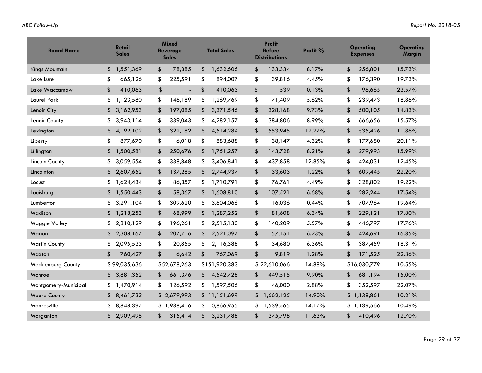| <b>Board Name</b>         | Retail<br><b>Sales</b> | <b>Mixed</b><br><b>Beverage</b><br><b>Sales</b> | <b>Total Sales</b> | <b>Profit</b><br><b>Before</b><br><b>Distributions</b> | Profit % | Operating<br><b>Expenses</b> | Operating<br><b>Margin</b> |
|---------------------------|------------------------|-------------------------------------------------|--------------------|--------------------------------------------------------|----------|------------------------------|----------------------------|
| <b>Kings Mountain</b>     | \$<br>1,551,369        | \$<br>78,385                                    | 1,632,606<br>\$    | \$<br>133,334                                          | 8.17%    | \$<br>256,801                | 15.73%                     |
| Lake Lure                 | \$<br>665,126          | 225,591<br>\$                                   | 894,007<br>\$      | \$<br>39,816                                           | 4.45%    | \$<br>176,390                | 19.73%                     |
| Lake Waccamaw             | \$<br>410,063          | $\frac{1}{2}$<br>$\blacksquare$                 | \$<br>410,063      | \$<br>539                                              | 0.13%    | \$<br>96,665                 | 23.57%                     |
| Laurel Park               | \$<br>1,123,580        | \$<br>146,189                                   | \$<br>1,269,769    | \$<br>71,409                                           | 5.62%    | \$<br>239,473                | 18.86%                     |
| Lenoir City               | 3,162,953<br>\$        | \$<br>197,085                                   | 3,371,546<br>\$    | \$<br>328,168                                          | 9.73%    | \$<br>500,105                | 14.83%                     |
| Lenoir County             | 3,943,114<br>\$        | 339,043<br>\$                                   | 4,282,157<br>\$    | \$<br>384,806                                          | 8.99%    | \$<br>666,656                | 15.57%                     |
| Lexington                 | 4,192,102<br>\$        | \$<br>322,182                                   | \$<br>4,514,284    | \$<br>553,945                                          | 12.27%   | \$<br>535,426                | 11.86%                     |
| Liberty                   | \$<br>877,670          | \$<br>6,018                                     | \$<br>883,688      | \$<br>38,147                                           | 4.32%    | \$<br>177,680                | 20.11%                     |
| Lillington                | 1,500,581<br>\$        | 250,676<br>\$                                   | \$<br>1,751,257    | \$<br>143,728                                          | 8.21%    | \$<br>279,993                | 15.99%                     |
| Lincoln County            | \$<br>3,059,554        | \$<br>338,848                                   | 3,406,841<br>\$    | \$<br>437,858                                          | 12.85%   | \$<br>424,031                | 12.45%                     |
| Lincolnton                | 2,607,652<br>\$        | \$<br>137,285                                   | 2,744,937<br>\$    | \$<br>33,603                                           | 1.22%    | \$<br>609,445                | 22.20%                     |
| Locust                    | 1,624,434<br>\$        | \$<br>86,357                                    | 1,710,791<br>\$    | \$<br>76,761                                           | 4.49%    | \$<br>328,802                | 19.22%                     |
| Louisburg                 | 1,550,443<br>\$        | \$<br>58,367                                    | 1,608,810<br>\$    | \$<br>107,521                                          | 6.68%    | \$<br>282,244                | 17.54%                     |
| Lumberton                 | 3,291,104<br>\$        | \$<br>309,620                                   | 3,604,066<br>\$    | \$<br>16,036                                           | 0.44%    | \$<br>707,964                | 19.64%                     |
| Madison                   | 1,218,253<br>\$        | \$<br>68,999                                    | 1,287,252<br>\$    | \$<br>81,608                                           | 6.34%    | \$<br>229,121                | 17.80%                     |
| Maggie Valley             | 2,310,129<br>\$        | \$<br>196,261                                   | 2,515,130<br>\$    | \$<br>140,209                                          | 5.57%    | \$<br>446,797                | 17.76%                     |
| Marion                    | 2,308,167<br>\$        | 207,716<br>\$                                   | 2,521,097<br>\$    | \$<br>157,151                                          | 6.23%    | \$<br>424,691                | 16.85%                     |
| <b>Martin County</b>      | \$<br>2,095,533        | \$<br>20,855                                    | 2,116,388<br>\$    | \$<br>134,680                                          | 6.36%    | \$<br>387,459                | 18.31%                     |
| Maxton                    | \$<br>760,427          | \$<br>6,642                                     | \$<br>767,069      | \$<br>9,819                                            | 1.28%    | \$<br>171,525                | 22.36%                     |
| <b>Mecklenburg County</b> | \$99,035,636           | \$52,678,263                                    | \$151,920,383      | \$22,610,066                                           | 14.88%   | \$16,030,779                 | 10.55%                     |
| Monroe                    | 3,881,352<br>\$        | \$<br>661,376                                   | 4,542,728<br>\$    | 449,515<br>\$                                          | 9.90%    | \$<br>681,194                | 15.00%                     |
| Montgomery-Municipal      | 1,470,914<br>\$        | \$<br>126,592                                   | \$<br>1,597,506    | \$<br>46,000                                           | 2.88%    | \$<br>352,597                | 22.07%                     |
| Moore County              | 8,461,732<br>\$        | \$2,679,993                                     | \$11,151,699       | 1,662,125<br>\$                                        | 14.90%   | 1,138,861<br>\$              | 10.21%                     |
| Mooresville               | 8,848,397<br>\$        | \$1,988,416                                     | \$10,866,955       | 1,539,565<br>\$                                        | 14.17%   | 1,139,566<br>\$              | 10.49%                     |
| Morganton                 | 2,909,498<br>\$        | \$<br>315,414                                   | 3,231,788<br>\$    | \$<br>375,798                                          | 11.63%   | 410,496<br>\$                | 12.70%                     |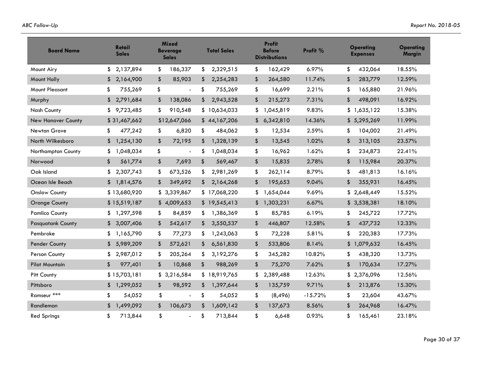| <b>Board Name</b>         | Retail<br><b>Sales</b> | <b>Mixed</b><br><b>Beverage</b><br><b>Sales</b> | <b>Total Sales</b> | <b>Profit</b><br><b>Before</b><br><b>Distributions</b> | Profit %  | <b>Operating</b><br><b>Expenses</b> | <b>Operating</b><br><b>Margin</b> |
|---------------------------|------------------------|-------------------------------------------------|--------------------|--------------------------------------------------------|-----------|-------------------------------------|-----------------------------------|
| Mount Airy                | \$<br>2,137,894        | \$<br>186,337                                   | \$<br>2,329,515    | \$<br>162,429                                          | 6.97%     | \$<br>432,064                       | 18.55%                            |
| Mount Holly               | \$<br>2,164,900        | 85,903<br>\$                                    | \$<br>2,254,283    | \$<br>264,580                                          | 11.74%    | \$<br>283,779                       | 12.59%                            |
| Mount Pleasant            | 755,269<br>\$          | \$<br>$\overline{\phantom{a}}$                  | \$<br>755,269      | \$<br>16,699                                           | 2.21%     | 165,880<br>\$                       | 21.96%                            |
| Murphy                    | 2,791,684<br>\$        | 138,086<br>\$                                   | 2,943,528<br>\$    | \$<br>215,273                                          | 7.31%     | \$<br>498,091                       | 16.92%                            |
| <b>Nash County</b>        | \$<br>9,723,485        | \$<br>910,548                                   | \$10,634,033       | \$<br>1,045,819                                        | 9.83%     | \$<br>1,635,122                     | 15.38%                            |
| <b>New Hanover County</b> | \$31,467,662           | \$12,647,066                                    | \$44,167,206       | 6,342,810<br>\$                                        | 14.36%    | 5,295,269<br>\$                     | 11.99%                            |
| Newton Grove              | \$<br>477,242          | \$<br>6,820                                     | \$<br>484,062      | \$<br>12,534                                           | 2.59%     | 104,002<br>\$                       | 21.49%                            |
| North Wilkesboro          | 1,254,130<br>\$        | \$<br>72,195                                    | \$<br>1,328,139    | \$<br>13,545                                           | 1.02%     | \$<br>313,105                       | 23.57%                            |
| Northampton County        | \$<br>1,048,034        | \$<br>$\blacksquare$                            | \$<br>1,048,034    | \$<br>16,962                                           | 1.62%     | \$<br>234,873                       | 22.41%                            |
| Norwood                   | \$<br>561,774          | 7,693<br>\$                                     | \$<br>569,467      | \$<br>15,835                                           | 2.78%     | \$<br>115,984                       | 20.37%                            |
| Oak Island                | \$<br>2,307,743        | \$<br>673,526                                   | 2,981,269<br>\$    | \$<br>262,114                                          | 8.79%     | \$<br>481,813                       | 16.16%                            |
| Ocean Isle Beach          | 1,814,576<br>\$        | 349,692<br>\$                                   | \$<br>2,164,268    | \$<br>195,653                                          | 9.04%     | \$<br>355,931                       | 16.45%                            |
| <b>Onslow County</b>      | \$13,680,920           | \$3,339,867                                     | \$17,068,220       | \$<br>1,654,044                                        | 9.69%     | 2,648,449<br>\$                     | 15.52%                            |
| <b>Orange County</b>      | \$15,519,187           | \$4,009,653                                     | \$19,545,413       | 1,303,231<br>\$                                        | 6.67%     | 3,538,381<br>\$                     | 18.10%                            |
| <b>Pamlico County</b>     | \$<br>1,297,598        | \$<br>84,859                                    | \$<br>1,386,369    | \$<br>85,785                                           | 6.19%     | 245,722<br>\$                       | 17.72%                            |
| <b>Pasquotank County</b>  | 3,007,406<br>\$        | 542,617<br>\$                                   | 3,550,537<br>\$    | \$<br>446,807                                          | 12.58%    | \$<br>437,732                       | 12.33%                            |
| Pembroke                  | 1,165,790<br>S         | \$<br>77,273                                    | 1,243,063<br>\$    | \$<br>72,228                                           | 5.81%     | \$<br>220,383                       | 17.73%                            |
| Pender County             | \$<br>5,989,209        | \$<br>572,621                                   | \$<br>6,561,830    | \$<br>533,806                                          | 8.14%     | \$<br>1,079,632                     | 16.45%                            |
| Person County             | 2,987,012<br>\$        | \$<br>205,264                                   | 3,192,276<br>\$    | \$<br>345,282                                          | 10.82%    | \$<br>438,320                       | 13.73%                            |
| <b>Pilot Mountain</b>     | \$<br>977,401          | \$<br>10,868                                    | \$<br>988,269      | \$<br>75,270                                           | 7.62%     | \$<br>170,634                       | 17.27%                            |
| <b>Pitt County</b>        | \$15,703,181           | \$3,216,584                                     | \$18,919,765       | 2,389,488<br>\$                                        | 12.63%    | \$<br>2,376,096                     | 12.56%                            |
| Pittsboro                 | 1,299,052<br>\$        | \$<br>98,592                                    | 1,397,644<br>\$    | \$<br>135,759                                          | 9.71%     | \$<br>213,876                       | 15.30%                            |
| Ramseur ***               | \$<br>54,052           | \$<br>$\overline{a}$                            | \$<br>54,052       | \$<br>(8, 496)                                         | $-15.72%$ | \$<br>23,604                        | 43.67%                            |
| Randleman                 | 1,499,092<br>\$        | \$<br>106,673                                   | \$<br>1,609,142    | \$<br>137,673                                          | 8.56%     | \$<br>264,968                       | 16.47%                            |
| <b>Red Springs</b>        | \$<br>713,844          | \$<br>$\overline{a}$                            | \$<br>713,844      | \$<br>6,648                                            | 0.93%     | \$<br>165,461                       | 23.18%                            |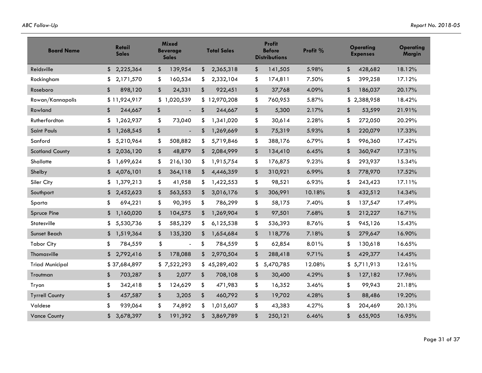| <b>Board Name</b>      | <b>Retail</b><br><b>Sales</b> | <b>Mixed</b><br><b>Beverage</b><br><b>Sales</b> | <b>Total Sales</b> | <b>Profit</b><br><b>Before</b><br><b>Distributions</b> | Profit % | Operating<br><b>Expenses</b> | <b>Operating</b><br>Margin |
|------------------------|-------------------------------|-------------------------------------------------|--------------------|--------------------------------------------------------|----------|------------------------------|----------------------------|
| Reidsville             | \$<br>2,225,364               | \$<br>139,954                                   | \$<br>2,365,318    | \$<br>141,505                                          | 5.98%    | \$<br>428,682                | 18.12%                     |
| Rockingham             | 2,171,570<br>\$               | 160,534<br>\$                                   | 2,332,104<br>\$    | \$<br>174,811                                          | 7.50%    | 399,258<br>\$                | 17.12%                     |
| Roseboro               | \$<br>898,120                 | 24,331<br>\$                                    | \$<br>922,451      | \$<br>37,768                                           | 4.09%    | \$<br>186,037                | 20.17%                     |
| Rowan/Kannapolis       | \$11,924,917                  | \$1,020,539                                     | \$12,970,208       | \$<br>760,953                                          | 5.87%    | 2,388,958<br>\$              | 18.42%                     |
| Rowland                | \$<br>244,667                 | \$<br>$\overline{a}$                            | \$<br>244,667      | \$<br>5,300                                            | 2.17%    | \$<br>53,599                 | 21.91%                     |
| Rutherfordton          | 1,262,937<br>\$               | \$<br>73,040                                    | 1,341,020<br>\$    | \$<br>30,614                                           | 2.28%    | \$<br>272,050                | 20.29%                     |
| Saint Pauls            | 1,268,545<br>\$               | \$<br>$\blacksquare$                            | 1,269,669<br>\$    | \$<br>75,319                                           | 5.93%    | \$<br>220,079                | 17.33%                     |
| Sanford                | \$<br>5,210,964               | \$<br>508,882                                   | \$<br>5,719,846    | \$<br>388,176                                          | 6.79%    | \$<br>996,360                | 17.42%                     |
| <b>Scotland County</b> | 2,036,120<br>\$               | \$<br>48,879                                    | 2,084,999<br>\$    | \$<br>134,410                                          | 6.45%    | \$<br>360,947                | 17.31%                     |
| Shallotte              | 1,699,624<br>\$               | \$<br>216,130                                   | 1,915,754<br>\$    | \$<br>176,875                                          | 9.23%    | \$<br>293,937                | 15.34%                     |
| Shelby                 | 4,076,101<br>\$               | \$<br>364,118                                   | 4,446,359<br>\$    | \$<br>310,921                                          | 6.99%    | \$<br>778,970                | 17.52%                     |
| Siler City             | \$<br>1,379,213               | \$<br>41,958                                    | 1,422,553<br>\$    | \$<br>98,521                                           | 6.93%    | \$<br>243,423                | 17.11%                     |
| Southport              | 2,452,623<br>\$               | \$<br>563,553                                   | 3,016,176<br>\$    | \$<br>306,991                                          | 10.18%   | \$<br>432,512                | 14.34%                     |
| Sparta                 | \$<br>694,221                 | \$<br>90,395                                    | \$<br>786,299      | \$<br>58,175                                           | 7.40%    | \$<br>137,547                | 17.49%                     |
| <b>Spruce Pine</b>     | \$<br>1,160,020               | \$<br>104,575                                   | 1,269,904<br>\$    | \$<br>97,501                                           | 7.68%    | \$<br>212,227                | 16.71%                     |
| Statesville            | 5,530,736<br>\$               | \$<br>585,329                                   | \$<br>6,125,538    | \$<br>536,393                                          | 8.76%    | \$<br>945,126                | 15.43%                     |
| Sunset Beach           | 1,519,364<br>\$               | 135,320<br>\$                                   | 1,654,684<br>\$    | 118,776<br>\$                                          | 7.18%    | \$<br>279,647                | 16.90%                     |
| <b>Tabor City</b>      | \$<br>784,559                 | \$<br>$\blacksquare$                            | \$<br>784,559      | \$<br>62,854                                           | 8.01%    | \$<br>130,618                | 16.65%                     |
| Thomasville            | \$<br>2,792,416               | \$<br>178,088                                   | \$<br>2,970,504    | \$<br>288,418                                          | 9.71%    | \$<br>429,377                | 14.45%                     |
| <b>Triad Municipal</b> | \$37,684,897                  | \$7,522,293                                     | \$45,289,402       | 5,470,785<br>\$                                        | 12.08%   | 5,711,913<br>\$              | 12.61%                     |
| Troutman               | \$<br>703,287                 | \$<br>2,077                                     | \$<br>708,108      | \$<br>30,400                                           | 4.29%    | \$<br>127,182                | 17.96%                     |
| Tryon                  | \$<br>342,418                 | \$<br>124,629                                   | \$<br>471,983      | \$<br>16,352                                           | 3.46%    | \$<br>99,943                 | 21.18%                     |
| <b>Tyrrell County</b>  | \$<br>457,587                 | \$<br>3,205                                     | \$<br>460,792      | \$<br>19,702                                           | 4.28%    | \$<br>88,486                 | 19.20%                     |
| Valdese                | \$<br>939,064                 | \$<br>74,892                                    | \$<br>1,015,607    | \$<br>43,383                                           | 4.27%    | \$<br>204,469                | 20.13%                     |
| <b>Vance County</b>    | \$<br>3,678,397               | \$<br>191,392                                   | \$<br>3,869,789    | \$<br>250,121                                          | 6.46%    | \$<br>655,905                | 16.95%                     |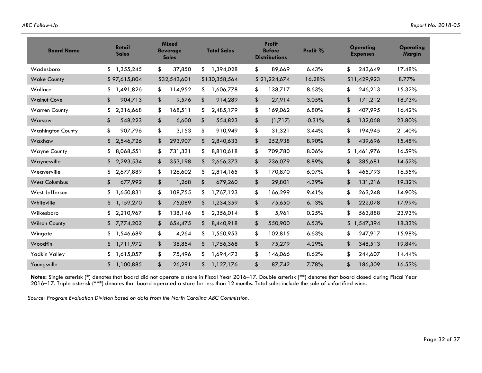| <b>Board Name</b>        | <b>Retail</b><br><b>Sales</b> | <b>Mixed</b><br><b>Beverage</b><br><b>Sales</b> | <b>Total Sales</b> | <b>Profit</b><br><b>Before</b><br><b>Distributions</b> | Profit % | <b>Operating</b><br><b>Expenses</b> | <b>Operating</b><br>Margin |
|--------------------------|-------------------------------|-------------------------------------------------|--------------------|--------------------------------------------------------|----------|-------------------------------------|----------------------------|
| Wadesboro                | \$<br>1,355,245               | \$<br>37,850                                    | 1,394,028<br>\$    | \$<br>89,669                                           | 6.43%    | \$<br>243,649                       | 17.48%                     |
| <b>Wake County</b>       | \$97,615,804                  | \$32,543,601                                    | \$130,358,564      | \$21,224,674                                           | 16.28%   | \$11,429,923                        | 8.77%                      |
| Wallace                  | 1,491,826<br>\$               | 114,952<br>\$                                   | 1,606,778<br>\$    | 138,717<br>\$                                          | 8.63%    | \$<br>246,213                       | 15.32%                     |
| <b>Walnut Cove</b>       | \$<br>904,713                 | \$<br>9,576                                     | \$<br>914,289      | \$<br>27,914                                           | 3.05%    | \$<br>171,212                       | 18.73%                     |
| <b>Warren County</b>     | 2,316,668<br>\$               | \$<br>168,511                                   | 2,485,179<br>S     | \$<br>169,062                                          | 6.80%    | \$<br>407,995                       | 16.42%                     |
| Warsaw                   | \$<br>548,223                 | \$<br>6,600                                     | \$<br>554,823      | \$<br>(1,717)                                          | $-0.31%$ | \$<br>132,068                       | 23.80%                     |
| <b>Washington County</b> | \$<br>907,796                 | \$<br>3,153                                     | \$<br>910,949      | \$<br>31,321                                           | 3.44%    | \$<br>194,945                       | 21.40%                     |
| Waxhaw                   | \$<br>2,546,726               | \$<br>293,907                                   | 2,840,633<br>\$    | \$<br>252,938                                          | 8.90%    | \$<br>439,696                       | 15.48%                     |
| <b>Wayne County</b>      | 8,068,551<br>\$               | \$<br>731,331                                   | 8,810,618<br>\$    | \$<br>709,780                                          | 8.06%    | \$<br>1,461,976                     | 16.59%                     |
| Waynesville              | \$<br>2,293,534               | 353,198<br>\$                                   | \$<br>2,656,373    | \$<br>236,079                                          | 8.89%    | \$<br>385,681                       | 14.52%                     |
| Weaverville              | 2,677,889<br>\$               | \$<br>126,602                                   | 2,814,165<br>\$    | \$<br>170,870                                          | 6.07%    | \$<br>465,793                       | 16.55%                     |
| <b>West Columbus</b>     | \$<br>677,992                 | \$<br>1,268                                     | \$<br>679,260      | \$<br>29,801                                           | 4.39%    | 131,216<br>\$                       | 19.32%                     |
| West Jefferson           | \$<br>1,650,831               | \$<br>108,755                                   | \$<br>1,767,123    | \$<br>166,299                                          | 9.41%    | \$<br>263,248                       | 14.90%                     |
| Whiteville               | 1,159,270<br>\$               | \$<br>75,089                                    | 1,234,359<br>\$    | \$<br>75,650                                           | 6.13%    | \$<br>222,078                       | 17.99%                     |
| Wilkesboro               | 2,210,967<br>\$               | \$<br>138,146                                   | 2,356,014<br>\$    | \$<br>5,961                                            | 0.25%    | \$<br>563,888                       | 23.93%                     |
| <b>Wilson County</b>     | \$<br>7,774,202               | \$<br>654,475                                   | \$<br>8,440,918    | \$<br>550,900                                          | 6.53%    | \$<br>1,547,394                     | 18.33%                     |
| Wingate                  | 1,546,689<br>\$               | \$<br>4,264                                     | 1,550,953<br>\$    | \$<br>102,815                                          | 6.63%    | \$<br>247,917                       | 15.98%                     |
| Woodfin                  | 1,711,972<br>\$               | \$<br>38,854                                    | 1,756,368<br>\$    | \$<br>75,279                                           | 4.29%    | \$<br>348,513                       | 19.84%                     |
| <b>Yadkin Valley</b>     | 1,615,057<br>\$               | \$<br>75,496                                    | 1,694,473<br>\$    | \$<br>146,066                                          | 8.62%    | \$<br>244,607                       | 14.44%                     |
| Youngsville              | 1,100,885<br>\$               | \$<br>26,291                                    | \$<br>1,127,176    | \$<br>87,742                                           | 7.78%    | \$<br>186,309                       | 16.53%                     |

**Notes:** Single asterisk (\*) denotes that board did not operate a store in Fiscal Year 2016–17. Double asterisk (\*\*) denotes that board closed during Fiscal Year 2016–17. Triple asterisk (\*\*\*) denotes that board operated a store for less than 12 months. Total sales include the sale of unfortified wine.

*Source: Program Evaluation Division based on data from the North Carolina ABC Commission.*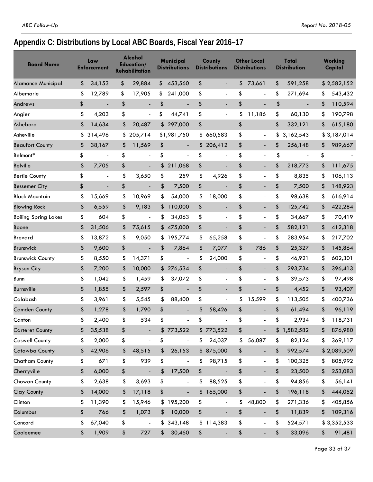# **Appendix C: Distributions by Local ABC Boards, Fiscal Year 2016–17**

| <b>Board Name</b>           | Law<br><b>Enforcement</b>      | <b>Alcohol</b><br>Education/<br><b>Rehabilitation</b> |               | Municipal<br>Distributions | County<br><b>Distributions</b> | <b>Other Local</b><br><b>Distributions</b> | Total<br><b>Distribution</b>   | <b>Working</b><br>Capital |
|-----------------------------|--------------------------------|-------------------------------------------------------|---------------|----------------------------|--------------------------------|--------------------------------------------|--------------------------------|---------------------------|
| Alamance Municipal          | \$<br>34,153                   | \$<br>29,884                                          |               | \$453,560                  | \$<br>$\overline{\phantom{a}}$ | \$<br>73,661                               | \$<br>591,258                  | \$2,582,152               |
| Albemarle                   | \$<br>12,789                   | \$<br>17,905                                          | \$            | 241,000                    | \$                             | \$<br>÷,                                   | \$<br>271,694                  | \$<br>543,432             |
| Andrews                     | \$                             | \$                                                    | \$            |                            | \$                             | \$<br>$\overline{a}$                       | \$                             | \$<br>110,594             |
| Angier                      | \$<br>4,203                    | \$<br>$\overline{\phantom{a}}$                        | \$            | 44,741                     | \$<br>$\overline{\phantom{a}}$ | \$<br>11,186                               | \$<br>60,130                   | \$<br>190,798             |
| Asheboro                    | \$<br>14,634                   | \$<br>20,487                                          |               | \$297,000                  | \$                             | \$<br>$\frac{1}{2}$                        | \$<br>332,121                  | \$<br>615,180             |
| Asheville                   | \$<br>314,496                  | \$<br>205.714                                         |               | \$1,981,750                | \$<br>660,583                  | \$<br>$\overline{\phantom{a}}$             | \$<br>3,162,543                | \$3,187,014               |
| <b>Beaufort County</b>      | \$<br>38,167                   | \$<br>11,569                                          | \$            | $\overline{\phantom{a}}$   | \$206,412                      | \$<br>$\qquad \qquad \blacksquare$         | \$<br>256,148                  | \$<br>989,667             |
| Belmont*                    | \$<br>$\overline{\phantom{a}}$ | \$<br>$\overline{\phantom{a}}$                        | \$            | $\blacksquare$             | \$<br>$\overline{\phantom{a}}$ | \$<br>$\overline{\phantom{a}}$             | \$<br>$\overline{\phantom{a}}$ | \$                        |
| <b>Belville</b>             | \$<br>7,705                    | \$                                                    | \$            | 211,068                    | \$                             | \$<br>$\overline{a}$                       | \$<br>218,773                  | \$<br>111,675             |
| <b>Bertie County</b>        | \$                             | \$<br>3,650                                           | \$            | 259                        | \$<br>4,926                    | \$<br>$\overline{\phantom{a}}$             | \$<br>8,835                    | \$<br>106,113             |
| <b>Bessemer City</b>        | \$<br>$\overline{\phantom{a}}$ | \$<br>$\overline{\phantom{a}}$                        | \$            | 7,500                      | \$<br>$\overline{\phantom{a}}$ | \$<br>$\overline{\phantom{a}}$             | \$<br>7,500                    | \$<br>148,923             |
| <b>Black Mountain</b>       | \$<br>15,669                   | \$<br>10,969                                          | \$            | 54,000                     | \$<br>18,000                   | \$<br>$\overline{\phantom{a}}$             | \$<br>98,638                   | \$<br>616,914             |
| <b>Blowing Rock</b>         | \$<br>6,559                    | \$<br>9,183                                           |               | \$110,000                  | \$<br>$\overline{\phantom{a}}$ | \$<br>$\qquad \qquad \blacksquare$         | \$<br>125,742                  | \$<br>422,284             |
| <b>Boiling Spring Lakes</b> | \$<br>604                      | \$<br>$\overline{\phantom{a}}$                        | \$            | 34,063                     | \$<br>$\overline{a}$           | \$<br>$\overline{\phantom{a}}$             | \$<br>34,667                   | \$<br>70,419              |
| Boone                       | \$<br>31,506                   | \$<br>75,615                                          |               | \$475,000                  | \$<br>$\blacksquare$           | \$<br>$\qquad \qquad \blacksquare$         | \$<br>582,121                  | \$<br>412,318             |
| Brevard                     | \$<br>13,872                   | \$<br>9,050                                           |               | \$195,774                  | \$<br>65,258                   | \$<br>$\overline{\phantom{a}}$             | \$<br>283,954                  | \$<br>217,702             |
| <b>Brunswick</b>            | \$<br>9,600                    | \$<br>$\blacksquare$                                  | \$            | 7,864                      | \$<br>7,077                    | \$<br>786                                  | \$<br>25,327                   | \$<br>145,864             |
| <b>Brunswick County</b>     | \$<br>8,550                    | \$<br>14,371                                          | \$            | $\overline{\phantom{a}}$   | \$<br>24,000                   | \$<br>$\overline{a}$                       | \$<br>46,921                   | \$<br>602,301             |
| <b>Bryson City</b>          | \$<br>7,200                    | \$<br>10,000                                          |               | \$276,534                  | \$<br>$\blacksquare$           | \$                                         | \$<br>293,734                  | \$<br>396,413             |
| Bunn                        | \$<br>1,042                    | \$<br>1,459                                           | \$            | 37,072                     | \$<br>$\overline{\phantom{a}}$ | \$<br>$\overline{\phantom{a}}$             | \$<br>39,573                   | \$<br>97,498              |
| <b>Burnsville</b>           | \$<br>1,855                    | \$<br>2,597                                           | \$            | $\overline{a}$             | \$<br>$\overline{a}$           | \$<br>$\overline{a}$                       | \$<br>4,452                    | \$<br>93,407              |
| Calabash                    | \$<br>3,961                    | \$<br>5,545                                           | \$            | 88,400                     | \$<br>$\overline{\phantom{a}}$ | \$<br>15,599                               | \$<br>113,505                  | \$<br>400,736             |
| <b>Camden County</b>        | \$<br>1,278                    | \$<br>1,790                                           | \$            | $\overline{\phantom{a}}$   | \$<br>58,426                   | \$<br>$\qquad \qquad \blacksquare$         | \$<br>61,494                   | \$<br>96,119              |
| Canton                      | \$<br>2,400                    | \$<br>534                                             | \$            |                            | \$                             | \$                                         | \$<br>2,934                    | \$<br>118,731             |
| <b>Carteret County</b>      | \$<br>35,538                   | \$                                                    |               | \$773,522                  | \$773,522                      | \$                                         | \$<br>1,582,582                | \$<br>876,980             |
| <b>Caswell County</b>       | \$<br>2,000                    | \$<br>$\overline{\phantom{a}}$                        | \$            | $\overline{\phantom{a}}$   | \$<br>24,037                   | \$<br>56,087                               | \$<br>82,124                   | \$<br>369,117             |
| Catawba County              | \$<br>42,906                   | \$<br>48,515                                          | \$            | 26,153                     | \$ 875,000                     | \$<br>$\blacksquare$                       | \$<br>992,574                  | \$2,089,509               |
| Chatham County              | \$<br>671                      | \$<br>939                                             | \$            | $\overline{\phantom{a}}$   | \$<br>98,715                   | \$<br>$\overline{\phantom{a}}$             | \$<br>100,325                  | \$<br>805,992             |
| Cherryville                 | \$<br>6,000                    | \$                                                    | \$            | 17,500                     | \$                             | \$<br>$\overline{\phantom{a}}$             | \$<br>23,500                   | \$<br>253,083             |
| Chowan County               | \$<br>2,638                    | \$<br>3,693                                           | \$            | $\overline{\phantom{a}}$   | \$<br>88,525                   | \$<br>$\overline{\phantom{a}}$             | \$<br>94,856                   | \$<br>56,141              |
| Clay County                 | \$<br>14,000                   | \$<br>17,118                                          | \$            |                            | \$165,000                      | \$<br>$\frac{1}{2}$                        | \$<br>196,118                  | \$<br>444,052             |
| Clinton                     | \$<br>11,390                   | \$<br>15,946                                          |               | \$195,200                  | \$<br>$\overline{\phantom{a}}$ | \$<br>48,800                               | \$<br>271,336                  | \$<br>405,856             |
| Columbus                    | \$<br>766                      | \$<br>1,073                                           | $\frac{1}{2}$ | 10,000                     | \$<br>$\overline{\phantom{a}}$ | \$<br>$\blacksquare$                       | \$<br>11,839                   | \$<br>109,316             |
| Concord                     | \$<br>67,040                   | \$<br>$\overline{\phantom{0}}$                        |               | \$343,148                  | \$114,383                      | \$<br>$\overline{\phantom{a}}$             | \$<br>524,571                  | \$3,352,533               |
| Cooleemee                   | \$<br>1,909                    | \$<br>727                                             | $\frac{1}{2}$ | 30,460                     | \$<br>$\overline{\phantom{a}}$ | \$<br>$\overline{\phantom{a}}$             | \$<br>33,096                   | \$<br>91,481              |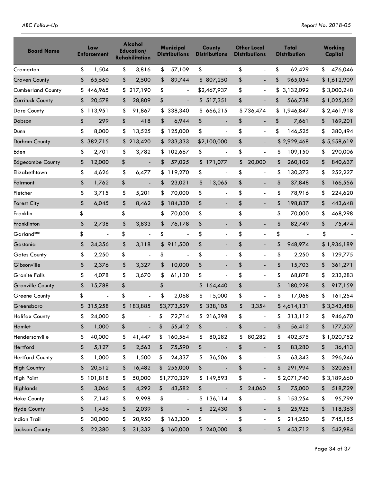| <b>Board Name</b>        | Law<br><b>Enforcement</b>      | <b>Alcohol</b><br>Education/<br><b>Rehabilitation</b> | Municipal<br><b>Distributions</b> | County<br><b>Distributions</b> | <b>Other Local</b><br><b>Distributions</b> | Total<br><b>Distribution</b>   | Working<br>Capital |
|--------------------------|--------------------------------|-------------------------------------------------------|-----------------------------------|--------------------------------|--------------------------------------------|--------------------------------|--------------------|
| Cramerton                | \$<br>1,504                    | \$<br>3,816                                           | \$<br>57,109                      | \$<br>$\overline{a}$           | \$<br>$\overline{a}$                       | \$<br>62,429                   | \$<br>476,046      |
| <b>Craven County</b>     | \$<br>65,560                   | \$<br>2,500                                           | \$<br>89,744                      | \$807,250                      | \$<br>$\overline{\phantom{0}}$             | \$<br>965,054                  | \$1,612,909        |
| <b>Cumberland County</b> | \$446,965                      | \$<br>217,190                                         | \$<br>$\overline{\phantom{a}}$    | \$2,467,937                    | \$<br>$\overline{\phantom{0}}$             | \$<br>3,132,092                | \$3,000,248        |
| Currituck County         | \$<br>20,578                   | \$<br>28,809                                          | \$<br>$\blacksquare$              | \$517,351                      | \$                                         | \$<br>566,738                  | \$1,025,362        |
| <b>Dare County</b>       | \$<br>113,951                  | \$<br>91,867                                          | \$338,340                         | \$666,215                      | \$736,474                                  | \$<br>1,946,847                | \$2,461,918        |
| Dobson                   | \$<br>299                      | \$<br>418                                             | \$<br>6,944                       | \$<br>$\overline{\phantom{a}}$ | \$<br>$\overline{\phantom{0}}$             | \$<br>7,661                    | \$<br>169,201      |
| Dunn                     | \$<br>8,000                    | \$<br>13,525                                          | \$125,000                         | \$<br>$\overline{a}$           | \$<br>$\overline{\phantom{0}}$             | \$<br>146,525                  | \$<br>380,494      |
| Durham County            | \$<br>382,715                  | \$<br>213,420                                         | \$233,333                         | \$2,100,000                    | \$<br>$\overline{\phantom{0}}$             | \$2,929,468                    | \$5,558,619        |
| Eden                     | \$<br>2,701                    | \$<br>3,782                                           | \$102,667                         | \$<br>$\overline{a}$           | \$<br>$\overline{\phantom{0}}$             | \$<br>109,150                  | \$<br>290,006      |
| <b>Edgecombe County</b>  | \$<br>12,000                   | \$<br>$\blacksquare$                                  | \$<br>57,025                      | \$171,077                      | \$<br>20,000                               | \$<br>260,102                  | \$<br>840,637      |
| Elizabethtown            | \$<br>4,626                    | \$<br>6,477                                           | \$<br>119,270                     | \$<br>$\overline{a}$           | \$<br>$\overline{\phantom{a}}$             | \$<br>130,373                  | \$<br>252,227      |
| Fairmont                 | \$<br>1,762                    | \$<br>$\blacksquare$                                  | \$<br>23,021                      | \$<br>13,065                   | \$<br>$\overline{\phantom{0}}$             | \$<br>37,848                   | \$<br>166,556      |
| Fletcher                 | \$<br>3,715                    | \$<br>5,201                                           | \$<br>70,000                      | \$<br>$\overline{a}$           | \$<br>$\overline{a}$                       | \$<br>78,916                   | \$<br>224,620      |
| <b>Forest City</b>       | \$<br>6,045                    | \$<br>8,462                                           | \$184,330                         | \$<br>$\overline{a}$           | \$<br>$\overline{\phantom{0}}$             | \$<br>198,837                  | \$<br>443,648      |
| Franklin                 | \$<br>$\overline{\phantom{a}}$ | \$<br>$\overline{\phantom{a}}$                        | \$<br>70,000                      | \$<br>$\overline{a}$           | \$<br>-                                    | \$<br>70,000                   | \$<br>468,298      |
| Franklinton              | \$<br>2,738                    | \$<br>3,833                                           | \$<br>76,178                      | \$                             | \$                                         | \$<br>82,749                   | \$<br>75,474       |
| Garland**                | \$<br>$\overline{\phantom{a}}$ | \$<br>$\overline{\phantom{a}}$                        | \$<br>$\overline{a}$              | \$<br>$\overline{a}$           | \$<br>$\overline{\phantom{a}}$             | \$<br>$\overline{\phantom{a}}$ | \$                 |
| Gastonia                 | \$<br>34,356                   | \$<br>3,118                                           | \$911,500                         | \$<br>$\overline{\phantom{a}}$ | \$<br>$\overline{\phantom{0}}$             | \$<br>948,974                  | \$1,936,189        |
| <b>Gates County</b>      | \$<br>2,250                    | \$<br>$\overline{\phantom{a}}$                        | \$                                | \$<br>$\overline{\phantom{a}}$ | \$<br>$\overline{\phantom{a}}$             | \$<br>2,250                    | \$<br>129,775      |
| Gibsonville              | \$<br>2,376                    | \$<br>3,327                                           | \$<br>10,000                      | \$<br>$\overline{\phantom{a}}$ | \$                                         | \$<br>15,703                   | \$<br>361,271      |
| <b>Granite Falls</b>     | \$<br>4,078                    | \$<br>3,670                                           | \$<br>61,130                      | \$<br>$\overline{a}$           | \$<br>$\overline{a}$                       | \$<br>68,878                   | \$<br>233,283      |
| <b>Granville County</b>  | \$<br>15,788                   | \$                                                    | \$<br>$\overline{a}$              | \$<br>164,440                  | \$                                         | \$<br>180,228                  | \$<br>917,159      |
| <b>Greene County</b>     | \$<br>$\overline{\phantom{a}}$ | \$<br>$\overline{\phantom{a}}$                        | \$<br>2,068                       | \$<br>15,000                   | \$<br>$\overline{\phantom{a}}$             | \$<br>17,068                   | \$<br>161,254      |
| Greensboro               | \$315,258                      | \$183,885                                             | \$3,773,529                       | \$338,105                      | \$<br>3,354                                | \$4,614,131                    | \$3,343,488        |
| <b>Halifax County</b>    | \$<br>24,000                   | \$                                                    | \$<br>72,714                      | \$216,398                      | \$                                         | \$<br>313,112                  | \$<br>946,670      |
| Hamlet                   | \$<br>1,000                    | \$                                                    | \$<br>55,412                      | \$                             | \$<br>$\overline{\phantom{0}}$             | \$<br>56,412                   | \$<br>177,507      |
| Hendersonville           | \$<br>40,000                   | \$<br>41,447                                          | \$<br>160,564                     | \$<br>80,282                   | \$<br>80,282                               | \$<br>402,575                  | \$1,020,752        |
| Hertford                 | \$<br>5,127                    | \$<br>2,563                                           | \$<br>75,590                      | \$<br>$\overline{a}$           | \$<br>÷,                                   | \$<br>83,280                   | \$<br>36,413       |
| <b>Hertford County</b>   | \$<br>1,000                    | \$<br>1,500                                           | \$<br>24,337                      | \$<br>36,506                   | \$<br>$\overline{\phantom{a}}$             | \$<br>63,343                   | \$<br>296,246      |
| <b>High Country</b>      | \$<br>20,512                   | \$<br>16,482                                          | \$255,000                         | \$                             | \$<br>$\overline{\phantom{0}}$             | \$<br>291,994                  | \$<br>320,651      |
| <b>High Point</b>        | \$101,818                      | \$<br>50,000                                          | \$1,770,329                       | \$149,593                      | \$<br>$\overline{a}$                       | \$2,071,740                    | \$3,189,660        |
| <b>Highlands</b>         | \$<br>3,066                    | \$<br>4,292                                           | \$<br>43,582                      | \$<br>$\overline{\phantom{a}}$ | \$<br>24,060                               | \$<br>75,000                   | \$<br>518,729      |
| <b>Hoke County</b>       | \$<br>7,142                    | \$<br>9,998                                           | \$<br>$\overline{\phantom{m}}$    | \$136,114                      | \$<br>$\overline{\phantom{0}}$             | \$<br>153,254                  | \$<br>95,799       |
| <b>Hyde County</b>       | \$<br>1,456                    | \$<br>2,039                                           | \$<br>$\blacksquare$              | \$<br>22,430                   | \$<br>$\blacksquare$                       | \$<br>25,925                   | \$<br>118,363      |
| <b>Indian Trail</b>      | \$<br>30,000                   | \$<br>20,950                                          | \$163,300                         | \$                             | \$<br>$\overline{\phantom{0}}$             | \$<br>214,250                  | \$<br>745,155      |
| <b>Jackson County</b>    | \$<br>22,380                   | \$<br>31,332                                          | \$160,000                         | \$240,000                      | \$<br>$\blacksquare$                       | \$<br>453,712                  | \$<br>542,984      |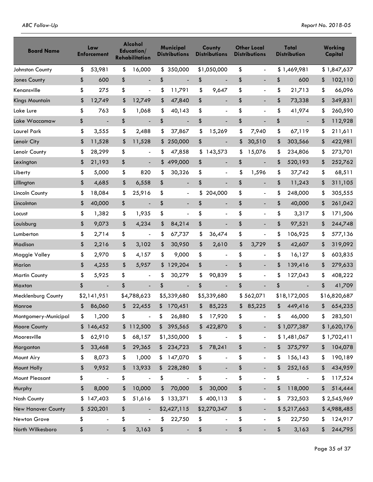| <b>Board Name</b>     | Law<br><b>Enforcement</b>          | Alcohol<br>Education/<br><b>Rehabilitation</b> | Municipal<br><b>Distributions</b>  | County<br><b>Distributions</b> | <b>Other Local</b><br><b>Distributions</b> | Total<br><b>Distribution</b>       | Working<br>Capital |
|-----------------------|------------------------------------|------------------------------------------------|------------------------------------|--------------------------------|--------------------------------------------|------------------------------------|--------------------|
| Johnston County       | \$<br>53,981                       | \$<br>16,000                                   | \$350,000                          | \$1,050,000                    | \$<br>$\overline{\phantom{a}}$             | \$1,469,981                        | \$1,847,637        |
| Jones County          | \$<br>600                          | \$<br>$\overline{a}$                           | \$<br>$\overline{a}$               | \$                             | \$<br>$\overline{a}$                       | \$<br>600                          | \$<br>102,110      |
| Kenansville           | \$<br>275                          | \$<br>$\overline{\phantom{a}}$                 | \$<br>11,791                       | \$<br>9,647                    | \$<br>$\overline{a}$                       | \$<br>21,713                       | \$<br>66,096       |
| <b>Kings Mountain</b> | \$<br>12,749                       | \$<br>12,749                                   | \$<br>47,840                       | \$<br>$\overline{\phantom{a}}$ | \$<br>$\overline{\phantom{0}}$             | \$<br>73,338                       | \$<br>349,831      |
| Lake Lure             | \$<br>763                          | \$<br>1,068                                    | \$<br>40,143                       | \$<br>$\overline{\phantom{a}}$ | \$<br>$\overline{a}$                       | \$<br>41,974                       | \$<br>260,590      |
| Lake Waccamaw         | \$                                 | \$<br>$\overline{\phantom{a}}$                 | \$<br>$\overline{\phantom{a}}$     | \$                             | \$                                         | \$<br>$\overline{\phantom{a}}$     | \$<br>112,928      |
| Laurel Park           | \$<br>3,555                        | \$<br>2,488                                    | \$<br>37,867                       | \$<br>15,269                   | \$<br>7,940                                | \$<br>67,119                       | \$<br>211,611      |
| Lenoir City           | \$<br>11,528                       | \$<br>11,528                                   | \$<br>250,000                      | \$<br>$\overline{\phantom{a}}$ | \$<br>30,510                               | \$<br>303,566                      | \$<br>422,981      |
| Lenoir County         | \$<br>28,299                       | \$<br>$\overline{\phantom{a}}$                 | \$<br>47,858                       | \$143,573                      | \$<br>15,076                               | \$<br>234,806                      | \$<br>273,701      |
| Lexington             | \$<br>21,193                       | \$<br>$\overline{\phantom{a}}$                 | \$<br>499,000                      | \$<br>$\overline{\phantom{a}}$ | \$<br>$\blacksquare$                       | \$<br>520,193                      | \$<br>252,762      |
| Liberty               | \$<br>5,000                        | \$<br>820                                      | \$<br>30,326                       | \$<br>$\overline{\phantom{a}}$ | \$<br>1,596                                | \$<br>37,742                       | \$<br>68,511       |
| Lillington            | \$<br>4,685                        | \$<br>6,558                                    | \$<br>$\overline{\phantom{a}}$     | \$                             | \$<br>$\blacksquare$                       | \$<br>11,243                       | \$<br>311,105      |
| Lincoln County        | \$<br>18,084                       | \$<br>25,916                                   | \$<br>$\overline{\phantom{a}}$     | \$<br>204,000                  | \$<br>$\overline{\phantom{a}}$             | \$<br>248,000                      | \$<br>305,555      |
| Lincolnton            | \$<br>40,000                       | \$<br>$\blacksquare$                           | \$<br>$\overline{\phantom{a}}$     | \$<br>$\overline{\phantom{a}}$ | \$<br>$\overline{a}$                       | \$<br>40,000                       | \$<br>261,042      |
| Locust                | \$<br>1,382                        | \$<br>1,935                                    | \$<br>$\qquad \qquad \blacksquare$ | \$<br>$\overline{\phantom{a}}$ | \$<br>$\overline{a}$                       | \$<br>3,317                        | \$<br>171,506      |
| Louisburg             | \$<br>9,073                        | \$<br>4,234                                    | \$<br>84,214                       | \$                             | \$                                         | \$<br>97,521                       | \$<br>244,748      |
| Lumberton             | \$<br>2,714                        | \$<br>$\blacksquare$                           | \$<br>67,737                       | \$<br>36,474                   | \$<br>$\overline{a}$                       | \$<br>106,925                      | \$<br>577,136      |
| Madison               | \$<br>2,216                        | \$<br>3,102                                    | \$<br>30,950                       | \$<br>2,610                    | \$<br>3,729                                | \$<br>42,607                       | \$<br>319,092      |
| Maggie Valley         | \$<br>2,970                        | \$<br>4,157                                    | \$<br>9,000                        | \$<br>$\overline{\phantom{a}}$ | \$<br>$\overline{a}$                       | \$<br>16,127                       | \$<br>603,835      |
| <b>Marion</b>         | \$<br>4,255                        | \$<br>5,957                                    | \$<br>129,204                      | \$<br>$\overline{\phantom{a}}$ | \$<br>$\overline{\phantom{a}}$             | \$<br>139,416                      | \$<br>279,633      |
| <b>Martin County</b>  | \$<br>5,925                        | \$<br>$\overline{\phantom{a}}$                 | \$<br>30,279                       | \$<br>90,839                   | \$<br>$\overline{a}$                       | \$<br>127,043                      | \$<br>408,222      |
| Maxton                | \$<br>$\overline{\phantom{a}}$     | \$<br>$\overline{\phantom{a}}$                 | \$<br>$\overline{\phantom{a}}$     | \$<br>$\blacksquare$           | \$<br>$\overline{a}$                       | \$<br>$\overline{a}$               | \$<br>41,709       |
| Mecklenburg County    | \$2,141,951                        | \$4,788,623                                    | \$5,339,680                        | \$5,339,680                    | \$562,071                                  | \$18,172,005                       | \$16,820,687       |
| Monroe                | \$<br>86,060                       | \$<br>22,455                                   | \$170,451                          | \$<br>85,225                   | \$<br>85,225                               | \$<br>449,416                      | \$<br>654,235      |
| Montgomery-Municipal  | \$<br>1,200                        | \$                                             | \$<br>26,880                       | \$<br>17,920                   | \$                                         | \$<br>46,000                       | \$<br>283,501      |
| Moore County          | \$<br>146,452                      | \$112,500                                      | \$395,565                          | \$422,870                      | \$<br>-                                    | \$1,077,387                        | \$1,620,176        |
| Mooresville           | \$<br>62,910                       | \$<br>68,157                                   | \$1,350,000                        | \$<br>÷,                       | \$<br>$\overline{\phantom{0}}$             | \$1,481,067                        | \$1,702,411        |
| Morganton             | \$<br>33,468                       | \$<br>29,365                                   | \$234,723                          | \$<br>78,241                   | \$                                         | \$<br>375,797                      | \$<br>104,078      |
| Mount Airy            | \$<br>8,073                        | \$<br>1,000                                    | \$<br>147,070                      | \$<br>$\overline{\phantom{a}}$ | \$<br>$\overline{\phantom{0}}$             | \$<br>156,143                      | \$<br>190,189      |
| Mount Holly           | \$<br>9,952                        | \$<br>13,933                                   | \$228,280                          | \$<br>$\overline{\phantom{a}}$ | \$<br>$\overline{\phantom{a}}$             | \$<br>252,165                      | \$<br>434,959      |
| Mount Pleasant        | \$<br>$\qquad \qquad \blacksquare$ | \$<br>$\overline{\phantom{a}}$                 | \$<br>$\overline{\phantom{a}}$     | \$                             | \$<br>$\overline{\phantom{0}}$             | \$<br>$\qquad \qquad \blacksquare$ | \$<br>117,524      |
| Murphy                | \$<br>8,000                        | \$<br>10,000                                   | \$<br>70,000                       | \$<br>30,000                   | \$<br>-                                    | \$<br>118,000                      | \$<br>514,444      |
| Nash County           | \$147,403                          | \$<br>51,616                                   | \$133,371                          | \$400,113                      | \$<br>$\overline{\phantom{a}}$             | \$<br>732,503                      | \$2,545,969        |
| New Hanover County    | \$520,201                          | \$                                             | \$2,427,115                        | \$2,270,347                    | \$                                         | \$5,217,663                        | \$4,988,485        |
| Newton Grove          | \$<br>$\overline{\phantom{a}}$     | \$<br>$\overline{\phantom{a}}$                 | \$<br>22,750                       | \$<br>$\overline{\phantom{a}}$ | \$<br>$\overline{\phantom{0}}$             | \$<br>22,750                       | \$<br>124,917      |
| North Wilkesboro      | \$<br>$\blacksquare$               | \$<br>3,163                                    | \$<br>$\overline{\phantom{a}}$     | \$<br>$\overline{\phantom{a}}$ | \$<br>-                                    | \$<br>3,163                        | \$<br>244,795      |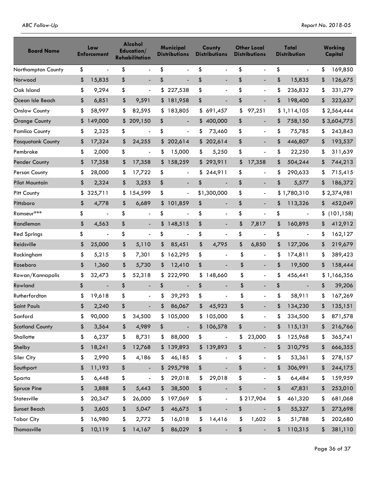| ABC Follow-Up |  |  |
|---------------|--|--|
|               |  |  |

| <b>Board Name</b>        | Law<br>Enforcement             | Alcohol<br>Education/<br><b>Rehabilitation</b> | Municipal<br><b>Distributions</b> | County<br><b>Distributions</b> | <b>Other Local</b><br><b>Distributions</b> | Total<br><b>Distribution</b>   | Working<br>Capital |
|--------------------------|--------------------------------|------------------------------------------------|-----------------------------------|--------------------------------|--------------------------------------------|--------------------------------|--------------------|
| Northampton County       | \$<br>$\overline{\phantom{a}}$ | \$                                             | \$<br>$\overline{a}$              | \$<br>$\overline{a}$           | \$<br>$\overline{a}$                       | \$<br>$\frac{1}{2}$            | \$<br>169,850      |
| Norwood                  | \$<br>15,835                   | \$                                             | \$                                | \$<br>$\overline{a}$           | \$<br>$\overline{a}$                       | \$<br>15,835                   | \$<br>126,675      |
| Oak Island               | \$<br>9,294                    | \$<br>$\overline{\phantom{a}}$                 | \$<br>227,538                     | \$<br>$\overline{\phantom{a}}$ | \$                                         | \$<br>236,832                  | \$<br>331,279      |
| Ocean Isle Beach         | \$<br>6,851                    | \$<br>9,591                                    | \$181,958                         | \$<br>$\overline{\phantom{a}}$ | \$<br>$\overline{a}$                       | \$<br>198,400                  | \$<br>323,637      |
| <b>Onslow County</b>     | \$<br>58,997                   | \$<br>82,595                                   | \$183,805                         | \$691,457                      | \$<br>97,251                               | \$1,114,105                    | \$2,564,444        |
| <b>Orange County</b>     | \$<br>149,000                  | \$<br>209,150                                  | \$<br>$\overline{\phantom{a}}$    | \$400,000                      | \$<br>$\overline{\phantom{0}}$             | \$<br>758,150                  | \$3,604,775        |
| <b>Pamlico County</b>    | \$<br>2,325                    | \$<br>$\overline{a}$                           | \$<br>$\overline{\phantom{a}}$    | \$<br>73,460                   | \$<br>$\overline{\phantom{a}}$             | \$<br>75,785                   | \$<br>243,843      |
| <b>Pasquotank County</b> | \$<br>17,324                   | \$<br>24,255                                   | \$<br>202,614                     | \$202,614                      | \$<br>$\overline{\phantom{a}}$             | \$<br>446,807                  | \$<br>193,537      |
| Pembroke                 | \$<br>2,000                    | \$<br>$\overline{\phantom{a}}$                 | \$<br>15,000                      | \$<br>5,250                    | \$<br>$\overline{a}$                       | \$<br>22,250                   | \$<br>311,639      |
| <b>Pender County</b>     | \$<br>17,358                   | \$<br>17,358                                   | \$<br>158,259                     | \$293,911                      | \$<br>17,358                               | \$<br>504,244                  | \$<br>744,213      |
| Person County            | \$<br>28,000                   | \$<br>17,722                                   | \$<br>$\overline{\phantom{a}}$    | \$244,911                      | \$<br>$\overline{a}$                       | \$<br>290,633                  | \$<br>715,415      |
| <b>Pilot Mountain</b>    | \$<br>2,324                    | \$<br>3,253                                    | \$<br>$\blacksquare$              | \$<br>$\frac{1}{2}$            | \$<br>÷,                                   | \$<br>5,577                    | \$<br>186,372      |
| Pitt County              | \$<br>325,711                  | \$<br>154,599                                  | \$<br>$\overline{\phantom{a}}$    | \$1,300,000                    | \$<br>$\overline{\phantom{a}}$             | \$1,780,310                    | \$2,374,981        |
| Pittsboro                | \$<br>4,778                    | \$<br>6,689                                    | \$<br>101,859                     | \$<br>$\overline{\phantom{a}}$ | \$<br>÷.                                   | \$<br>113,326                  | \$<br>452,049      |
| Ramseur***               | \$<br>$\overline{\phantom{a}}$ | \$<br>$\overline{\phantom{a}}$                 | \$<br>-                           | \$<br>$\overline{\phantom{a}}$ | \$<br>$\overline{a}$                       | \$<br>$\overline{\phantom{a}}$ | \$<br>(101, 158)   |
| Randleman                | \$<br>4,563                    | \$                                             | \$<br>148,515                     | \$<br>$\overline{\phantom{a}}$ | \$<br>7,817                                | \$<br>160,895                  | \$<br>412,912      |
| <b>Red Springs</b>       | \$<br>$\blacksquare$           | \$<br>$\overline{\phantom{a}}$                 | \$<br>$\overline{a}$              | \$<br>$\overline{a}$           | \$<br>$\qquad \qquad \blacksquare$         | \$<br>$\blacksquare$           | \$<br>162,127      |
| Reidsville               | \$<br>25,000                   | \$<br>5,110                                    | \$<br>85,451                      | \$<br>4,795                    | \$<br>6,850                                | \$<br>127,206                  | \$<br>219,679      |
| Rockingham               | \$<br>5,215                    | \$<br>7,301                                    | \$<br>162,295                     | \$<br>$\overline{a}$           | \$<br>$\overline{a}$                       | \$<br>174,811                  | \$<br>389,423      |
| Roseboro                 | \$<br>1,360                    | \$<br>5,730                                    | \$<br>12,410                      | \$<br>$\overline{\phantom{a}}$ | \$<br>$\overline{\phantom{a}}$             | \$<br>19,500                   | \$<br>158,444      |
| Rowan/Kannapolis         | \$<br>32,473                   | \$<br>52,318                                   | \$<br>222,990                     | \$148,660                      | \$<br>$\overline{\phantom{a}}$             | \$<br>456,441                  | \$1,166,356        |
| Rowland                  | \$<br>$\overline{\phantom{a}}$ | \$<br>$\overline{\phantom{0}}$                 | \$<br>$\overline{a}$              | \$<br>$\overline{\phantom{a}}$ | \$<br>$\overline{\phantom{0}}$             | \$<br>$\overline{\phantom{a}}$ | \$<br>39,206       |
| Rutherfordton            | \$<br>19,618                   | \$                                             | \$<br>39,293                      | \$<br>$\overline{a}$           | \$<br>$\blacksquare$                       | \$<br>58,911                   | \$<br>167,269      |
| <b>Saint Pauls</b>       | \$<br>2,240                    | \$                                             | \$<br>86,067                      | \$<br>45,923                   | \$                                         | \$<br>134,230                  | \$<br>135,151      |
| Sanford                  | \$<br>90,000                   | \$<br>34,500                                   | \$105,000                         | \$105,000                      | \$                                         | \$<br>334,500                  | \$<br>871,578      |
| <b>Scotland County</b>   | \$<br>3,564                    | \$<br>4,989                                    | \$                                | \$106,578                      | \$                                         | \$<br>115,131                  | \$<br>216,766      |
| Shallotte                | \$<br>6,237                    | \$<br>8,731                                    | \$<br>88,000                      | \$<br>$\overline{\phantom{a}}$ | \$<br>23,000                               | \$<br>125,968                  | \$<br>365,741      |
| Shelby                   | \$<br>18,241                   | \$<br>12,768                                   | \$139,893                         | \$139,893                      | \$                                         | \$<br>310,795                  | \$<br>666,355      |
| Siler City               | \$<br>2,990                    | \$<br>4,186                                    | \$<br>46,185                      | \$<br>$\overline{a}$           | \$<br>$\blacksquare$                       | \$<br>53,361                   | \$<br>278,157      |
| Southport                | \$<br>11,193                   | \$                                             | \$295,798                         | \$<br>$\blacksquare$           | \$<br>$\blacksquare$                       | \$<br>306,991                  | \$<br>244,175      |
| Sparta                   | \$<br>6,448                    | \$<br>$\blacksquare$                           | \$<br>29,018                      | \$<br>29,018                   | \$<br>$\overline{\phantom{a}}$             | \$<br>64,484                   | \$<br>159,959      |
| <b>Spruce Pine</b>       | \$<br>3,888                    | \$<br>5,443                                    | \$<br>38,500                      | \$<br>$\overline{\phantom{a}}$ | \$                                         | \$<br>47,831                   | \$<br>253,010      |
| Statesville              | \$<br>20,347                   | \$<br>26,000                                   | \$197,069                         | \$<br>$\blacksquare$           | \$217,904                                  | \$<br>461,320                  | \$<br>681,068      |
| <b>Sunset Beach</b>      | \$<br>3,605                    | \$<br>5,047                                    | \$<br>46,675                      | \$<br>$\blacksquare$           | \$                                         | \$<br>55,327                   | \$<br>273,698      |
| <b>Tabor City</b>        | \$<br>16,980                   | \$<br>2,772                                    | \$<br>16,018                      | \$<br>14,416                   | \$<br>1,602                                | \$<br>51,788                   | \$<br>202,680      |
| Thomasville              | \$<br>10,119                   | \$<br>14,167                                   | \$<br>86,029                      | \$<br>$\overline{\phantom{a}}$ | \$<br>$\overline{\phantom{a}}$             | \$<br>110,315                  | \$<br>381,110      |